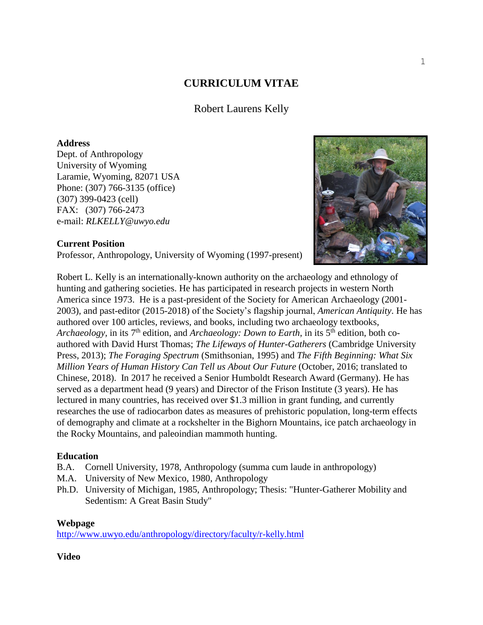# **CURRICULUM VITAE**

Robert Laurens Kelly

# **Address**

Dept. of Anthropology University of Wyoming Laramie, Wyoming, 82071 USA Phone: (307) 766-3135 (office) (307) 399-0423 (cell) FAX: (307) 766-2473 e-mail: *RLKELLY@uwyo.edu* 



# **Current Position**

Professor, Anthropology, University of Wyoming (1997-present)

Robert L. Kelly is an internationally-known authority on the archaeology and ethnology of hunting and gathering societies. He has participated in research projects in western North America since 1973. He is a past-president of the Society for American Archaeology (2001- 2003), and past-editor (2015-2018) of the Society's flagship journal, *American Antiquity*. He has authored over 100 articles, reviews, and books, including two archaeology textbooks, *Archaeology,* in its 7<sup>th</sup> edition, and *Archaeology: Down to Earth*, in its 5<sup>th</sup> edition, both coauthored with David Hurst Thomas; *The Lifeways of Hunter-Gatherers* (Cambridge University Press, 2013); *The Foraging Spectrum* (Smithsonian, 1995) and *The Fifth Beginning: What Six Million Years of Human History Can Tell us About Our Future* (October, 2016; translated to Chinese, 2018). In 2017 he received a Senior Humboldt Research Award (Germany). He has served as a department head (9 years) and Director of the Frison Institute (3 years). He has lectured in many countries, has received over \$1.3 million in grant funding, and currently researches the use of radiocarbon dates as measures of prehistoric population, long-term effects of demography and climate at a rockshelter in the Bighorn Mountains, ice patch archaeology in the Rocky Mountains, and paleoindian mammoth hunting.

## **Education**

- B.A. Cornell University, 1978, Anthropology (summa cum laude in anthropology)
- M.A. University of New Mexico, 1980, Anthropology
- Ph.D. University of Michigan, 1985, Anthropology; Thesis: "Hunter-Gatherer Mobility and Sedentism: A Great Basin Study"

## **Webpage**

<http://www.uwyo.edu/anthropology/directory/faculty/r-kelly.html>

## **Video**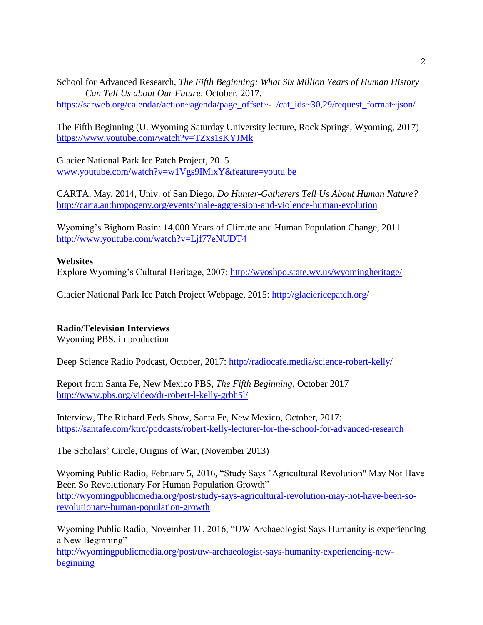School for Advanced Research, *The Fifth Beginning: What Six Million Years of Human History Can Tell Us about Our Future*. October, 2017.

[https://sarweb.org/calendar/action~agenda/page\\_offset~-1/cat\\_ids~30,29/request\\_format~json/](https://sarweb.org/calendar/action~agenda/page_offset~-1/cat_ids~30,29/request_format~json/)

The Fifth Beginning (U. Wyoming Saturday University lecture, Rock Springs, Wyoming, 2017) <https://www.youtube.com/watch?v=TZxs1sKYJMk>

Glacier National Park Ice Patch Project, 2015 [www.youtube.com/watch?v=w1Vgs9IMixY&feature=youtu.be](http://www.youtube.com/watch?v=w1Vgs9IMixY&feature=youtu.be)

CARTA, May, 2014, Univ. of San Diego, *Do Hunter-Gatherers Tell Us About Human Nature?* <http://carta.anthropogeny.org/events/male-aggression-and-violence-human-evolution>

Wyoming's Bighorn Basin: 14,000 Years of Climate and Human Population Change, 2011 <http://www.youtube.com/watch?v=Ljf77eNUDT4>

## **Websites**

Explore Wyoming's Cultural Heritage, 2007:<http://wyoshpo.state.wy.us/wyomingheritage/>

Glacier National Park Ice Patch Project Webpage, 2015:<http://glaciericepatch.org/>

## **Radio/Television Interviews**

Wyoming PBS, in production

Deep Science Radio Podcast, October, 2017:<http://radiocafe.media/science-robert-kelly/>

Report from Santa Fe, New Mexico PBS, *The Fifth Beginning,* October 2017 <http://www.pbs.org/video/dr-robert-l-kelly-grbh5l/>

Interview, The Richard Eeds Show, Santa Fe, New Mexico, October, 2017: <https://santafe.com/ktrc/podcasts/robert-kelly-lecturer-for-the-school-for-advanced-research>

The Scholars' Circle, Origins of War, (November 2013)

Wyoming Public Radio, February 5, 2016, "Study Says "Agricultural Revolution" May Not Have Been So Revolutionary For Human Population Growth" [http://wyomingpublicmedia.org/post/study-says-agricultural-revolution-may-not-have-been-so](http://wyomingpublicmedia.org/post/study-says-agricultural-revolution-may-not-have-been-so-revolutionary-human-population-growth)[revolutionary-human-population-growth](http://wyomingpublicmedia.org/post/study-says-agricultural-revolution-may-not-have-been-so-revolutionary-human-population-growth)

Wyoming Public Radio, November 11, 2016, "UW Archaeologist Says Humanity is experiencing a New Beginning"

[http://wyomingpublicmedia.org/post/uw-archaeologist-says-humanity-experiencing-new](http://wyomingpublicmedia.org/post/uw-archaeologist-says-humanity-experiencing-new-beginning)[beginning](http://wyomingpublicmedia.org/post/uw-archaeologist-says-humanity-experiencing-new-beginning)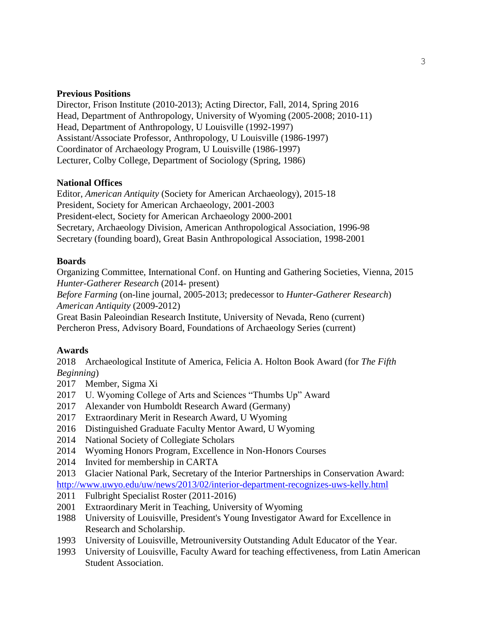# **Previous Positions**

Director, Frison Institute (2010-2013); Acting Director, Fall, 2014, Spring 2016 Head, Department of Anthropology, University of Wyoming (2005-2008; 2010-11) Head, Department of Anthropology, U Louisville (1992-1997) Assistant/Associate Professor, Anthropology, U Louisville (1986-1997) Coordinator of Archaeology Program, U Louisville (1986-1997) Lecturer, Colby College, Department of Sociology (Spring, 1986)

# **National Offices**

Editor, *American Antiquity* (Society for American Archaeology), 2015-18 President, Society for American Archaeology, 2001-2003 President-elect, Society for American Archaeology 2000-2001 Secretary, Archaeology Division, American Anthropological Association, 1996-98 Secretary (founding board), Great Basin Anthropological Association, 1998-2001

## **Boards**

Organizing Committee, International Conf. on Hunting and Gathering Societies, Vienna, 2015 *Hunter-Gatherer Research* (2014- present)

*Before Farming* (on-line journal, 2005-2013; predecessor to *Hunter-Gatherer Research*) *American Antiquity* (2009-2012)

Great Basin Paleoindian Research Institute, University of Nevada, Reno (current) Percheron Press, Advisory Board, Foundations of Archaeology Series (current)

# **Awards**

2018 Archaeological Institute of America, Felicia A. Holton Book Award (for *The Fifth Beginning*)

- 2017 Member, Sigma Xi
- 2017 U. Wyoming College of Arts and Sciences "Thumbs Up" Award
- 2017 Alexander von Humboldt Research Award (Germany)
- 2017 Extraordinary Merit in Research Award, U Wyoming
- 2016 Distinguished Graduate Faculty Mentor Award, U Wyoming
- 2014 National Society of Collegiate Scholars
- 2014 Wyoming Honors Program, Excellence in Non-Honors Courses
- 2014 Invited for membership in CARTA
- 2013 Glacier National Park, Secretary of the Interior Partnerships in Conservation Award: <http://www.uwyo.edu/uw/news/2013/02/interior-department-recognizes-uws-kelly.html>
- 2011 Fulbright Specialist Roster (2011-2016)
- 2001 Extraordinary Merit in Teaching, University of Wyoming
- 1988 University of Louisville, President's Young Investigator Award for Excellence in Research and Scholarship.
- 1993 University of Louisville, Metrouniversity Outstanding Adult Educator of the Year.
- 1993 University of Louisville, Faculty Award for teaching effectiveness, from Latin American Student Association.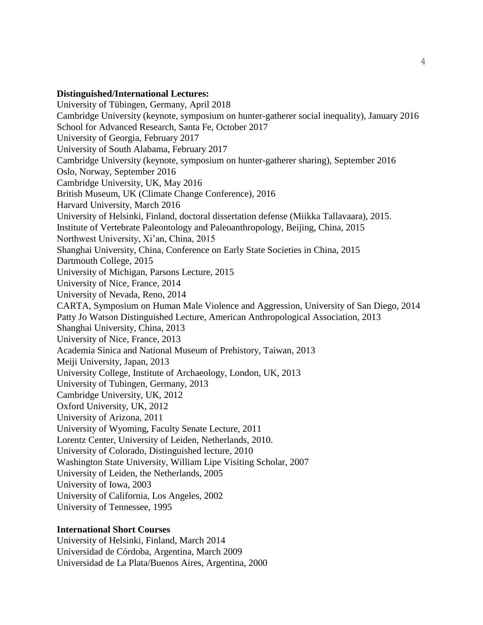#### **Distinguished/International Lectures:**

University of Tübingen, Germany, April 2018 Cambridge University (keynote, symposium on hunter-gatherer social inequality), January 2016 School for Advanced Research, Santa Fe, October 2017 University of Georgia, February 2017 University of South Alabama, February 2017 Cambridge University (keynote, symposium on hunter-gatherer sharing), September 2016 Oslo, Norway, September 2016 Cambridge University, UK, May 2016 British Museum, UK (Climate Change Conference), 2016 Harvard University, March 2016 University of Helsinki, Finland, doctoral dissertation defense (Miikka Tallavaara), 2015. Institute of Vertebrate Paleontology and Paleoanthropology, Beijing, China, 2015 Northwest University, Xi'an, China, 2015 Shanghai University, China, Conference on Early State Societies in China, 2015 Dartmouth College, 2015 University of Michigan, Parsons Lecture, 2015 University of Nice, France, 2014 University of Nevada, Reno, 2014 CARTA, Symposium on Human Male Violence and Aggression, University of San Diego, 2014 Patty Jo Watson Distinguished Lecture, American Anthropological Association, 2013 Shanghai University, China, 2013 University of Nice, France, 2013 Academia Sinica and National Museum of Prehistory, Taiwan, 2013 Meiji University, Japan, 2013 University College, Institute of Archaeology, London, UK, 2013 University of Tubingen, Germany, 2013 Cambridge University, UK, 2012 Oxford University, UK, 2012 University of Arizona, 2011 University of Wyoming, Faculty Senate Lecture, 2011 Lorentz Center, University of Leiden, Netherlands, 2010. University of Colorado, Distinguished lecture, 2010 Washington State University, William Lipe Visiting Scholar, 2007 University of Leiden, the Netherlands, 2005 University of Iowa, 2003 University of California, Los Angeles, 2002 University of Tennessee, 1995

#### **International Short Courses**

University of Helsinki, Finland, March 2014 Universidad de Córdoba, Argentina, March 2009 Universidad de La Plata/Buenos Aires, Argentina, 2000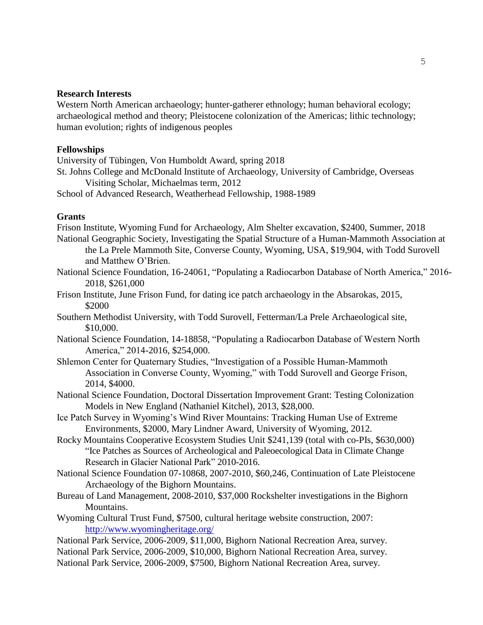## **Research Interests**

Western North American archaeology; hunter-gatherer ethnology; human behavioral ecology; archaeological method and theory; Pleistocene colonization of the Americas; lithic technology; human evolution; rights of indigenous peoples

#### **Fellowships**

University of Tübingen, Von Humboldt Award, spring 2018

St. Johns College and McDonald Institute of Archaeology, University of Cambridge, Overseas Visiting Scholar, Michaelmas term, 2012

School of Advanced Research, Weatherhead Fellowship, 1988-1989

## **Grants**

Frison Institute, Wyoming Fund for Archaeology, Alm Shelter excavation, \$2400, Summer, 2018

- National Geographic Society, Investigating the Spatial Structure of a Human-Mammoth Association at the La Prele Mammoth Site, Converse County, Wyoming, USA, \$19,904, with Todd Surovell and Matthew O'Brien.
- National Science Foundation, 16-24061, "Populating a Radiocarbon Database of North America," 2016- 2018, \$261,000
- Frison Institute, June Frison Fund, for dating ice patch archaeology in the Absarokas, 2015, \$2000
- Southern Methodist University, with Todd Surovell, Fetterman/La Prele Archaeological site, \$10,000.
- National Science Foundation, 14-18858, "Populating a Radiocarbon Database of Western North America," 2014-2016, \$254,000.
- Shlemon Center for Quaternary Studies, "Investigation of a Possible Human-Mammoth Association in Converse County, Wyoming," with Todd Surovell and George Frison, 2014, \$4000.
- National Science Foundation, Doctoral Dissertation Improvement Grant: Testing Colonization Models in New England (Nathaniel Kitchel), 2013, \$28,000.
- Ice Patch Survey in Wyoming's Wind River Mountains: Tracking Human Use of Extreme Environments, \$2000, Mary Lindner Award, University of Wyoming, 2012.
- Rocky Mountains Cooperative Ecosystem Studies Unit \$241,139 (total with co-PIs, \$630,000) "Ice Patches as Sources of Archeological and Paleoecological Data in Climate Change Research in Glacier National Park" 2010-2016.
- National Science Foundation 07-10868, 2007-2010, \$60,246, Continuation of Late Pleistocene Archaeology of the Bighorn Mountains.
- Bureau of Land Management, 2008-2010, \$37,000 Rockshelter investigations in the Bighorn Mountains.
- Wyoming Cultural Trust Fund, \$7500, cultural heritage website construction, 2007: <http://www.wyomingheritage.org/>
- National Park Service, 2006-2009, \$11,000, Bighorn National Recreation Area, survey.
- National Park Service, 2006-2009, \$10,000, Bighorn National Recreation Area, survey.
- National Park Service, 2006-2009, \$7500, Bighorn National Recreation Area, survey.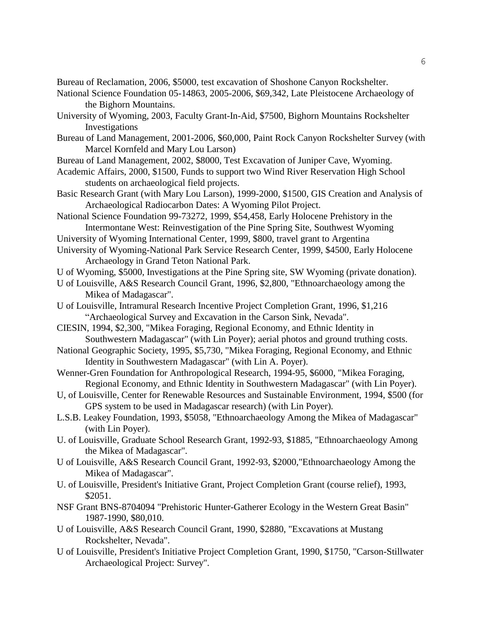Bureau of Reclamation, 2006, \$5000, test excavation of Shoshone Canyon Rockshelter.

- National Science Foundation 05-14863, 2005-2006, \$69,342, Late Pleistocene Archaeology of the Bighorn Mountains.
- University of Wyoming, 2003, Faculty Grant-In-Aid, \$7500, Bighorn Mountains Rockshelter Investigations
- Bureau of Land Management, 2001-2006, \$60,000, Paint Rock Canyon Rockshelter Survey (with Marcel Kornfeld and Mary Lou Larson)
- Bureau of Land Management, 2002, \$8000, Test Excavation of Juniper Cave, Wyoming.
- Academic Affairs, 2000, \$1500, Funds to support two Wind River Reservation High School students on archaeological field projects.
- Basic Research Grant (with Mary Lou Larson), 1999-2000, \$1500, GIS Creation and Analysis of Archaeological Radiocarbon Dates: A Wyoming Pilot Project.
- National Science Foundation 99-73272, 1999, \$54,458, Early Holocene Prehistory in the Intermontane West: Reinvestigation of the Pine Spring Site, Southwest Wyoming
- University of Wyoming International Center, 1999, \$800, travel grant to Argentina
- University of Wyoming-National Park Service Research Center, 1999, \$4500, Early Holocene Archaeology in Grand Teton National Park.
- U of Wyoming, \$5000, Investigations at the Pine Spring site, SW Wyoming (private donation).
- U of Louisville, A&S Research Council Grant, 1996, \$2,800, "Ethnoarchaeology among the Mikea of Madagascar".
- U of Louisville, Intramural Research Incentive Project Completion Grant, 1996, \$1,216 "Archaeological Survey and Excavation in the Carson Sink, Nevada".
- CIESIN, 1994, \$2,300, "Mikea Foraging, Regional Economy, and Ethnic Identity in Southwestern Madagascar" (with Lin Poyer); aerial photos and ground truthing costs.
- National Geographic Society, 1995, \$5,730, "Mikea Foraging, Regional Economy, and Ethnic Identity in Southwestern Madagascar" (with Lin A. Poyer).
- Wenner-Gren Foundation for Anthropological Research, 1994-95, \$6000, "Mikea Foraging, Regional Economy, and Ethnic Identity in Southwestern Madagascar" (with Lin Poyer).
- U, of Louisville, Center for Renewable Resources and Sustainable Environment, 1994, \$500 (for GPS system to be used in Madagascar research) (with Lin Poyer).
- L.S.B. Leakey Foundation, 1993, \$5058, "Ethnoarchaeology Among the Mikea of Madagascar" (with Lin Poyer).
- U. of Louisville, Graduate School Research Grant, 1992-93, \$1885, "Ethnoarchaeology Among the Mikea of Madagascar".
- U of Louisville, A&S Research Council Grant, 1992-93, \$2000,"Ethnoarchaeology Among the Mikea of Madagascar".
- U. of Louisville, President's Initiative Grant, Project Completion Grant (course relief), 1993, \$2051.
- NSF Grant BNS-8704094 "Prehistoric Hunter-Gatherer Ecology in the Western Great Basin" 1987-1990, \$80,010.
- U of Louisville, A&S Research Council Grant, 1990, \$2880, "Excavations at Mustang Rockshelter, Nevada".
- U of Louisville, President's Initiative Project Completion Grant, 1990, \$1750, "Carson-Stillwater Archaeological Project: Survey".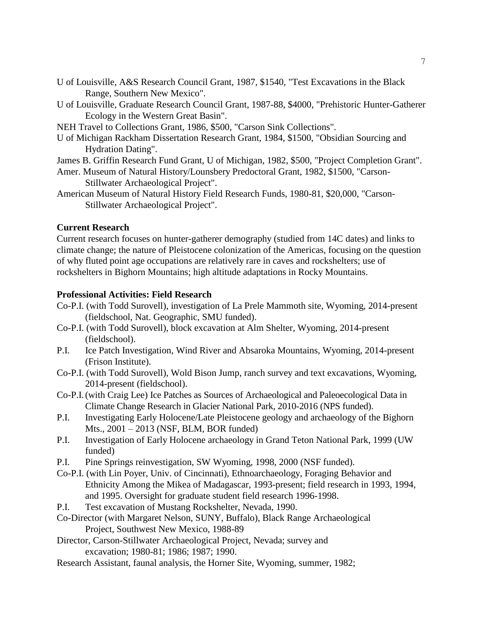- U of Louisville, A&S Research Council Grant, 1987, \$1540, "Test Excavations in the Black Range, Southern New Mexico".
- U of Louisville, Graduate Research Council Grant, 1987-88, \$4000, "Prehistoric Hunter-Gatherer Ecology in the Western Great Basin".
- NEH Travel to Collections Grant, 1986, \$500, "Carson Sink Collections".
- U of Michigan Rackham Dissertation Research Grant, 1984, \$1500, "Obsidian Sourcing and Hydration Dating".
- James B. Griffin Research Fund Grant, U of Michigan, 1982, \$500, "Project Completion Grant".
- Amer. Museum of Natural History/Lounsbery Predoctoral Grant, 1982, \$1500, "Carson-Stillwater Archaeological Project".
- American Museum of Natural History Field Research Funds, 1980-81, \$20,000, "Carson-Stillwater Archaeological Project".

## **Current Research**

Current research focuses on hunter-gatherer demography (studied from 14C dates) and links to climate change; the nature of Pleistocene colonization of the Americas, focusing on the question of why fluted point age occupations are relatively rare in caves and rockshelters; use of rockshelters in Bighorn Mountains; high altitude adaptations in Rocky Mountains.

#### **Professional Activities: Field Research**

- Co-P.I. (with Todd Surovell), investigation of La Prele Mammoth site, Wyoming, 2014-present (fieldschool, Nat. Geographic, SMU funded).
- Co-P.I. (with Todd Surovell), block excavation at Alm Shelter, Wyoming, 2014-present (fieldschool).
- P.I. Ice Patch Investigation, Wind River and Absaroka Mountains, Wyoming, 2014-present (Frison Institute).
- Co-P.I. (with Todd Surovell), Wold Bison Jump, ranch survey and text excavations, Wyoming, 2014-present (fieldschool).
- Co-P.I.(with Craig Lee) Ice Patches as Sources of Archaeological and Paleoecological Data in Climate Change Research in Glacier National Park, 2010-2016 (NPS funded).
- P.I. Investigating Early Holocene/Late Pleistocene geology and archaeology of the Bighorn Mts., 2001 – 2013 (NSF, BLM, BOR funded)
- P.I. Investigation of Early Holocene archaeology in Grand Teton National Park, 1999 (UW funded)
- P.I. Pine Springs reinvestigation, SW Wyoming, 1998, 2000 (NSF funded).
- Co-P.I. (with Lin Poyer, Univ. of Cincinnati), Ethnoarchaeology, Foraging Behavior and Ethnicity Among the Mikea of Madagascar, 1993-present; field research in 1993, 1994, and 1995. Oversight for graduate student field research 1996-1998.
- P.I. Test excavation of Mustang Rockshelter, Nevada, 1990.
- Co-Director (with Margaret Nelson, SUNY, Buffalo), Black Range Archaeological Project, Southwest New Mexico, 1988-89
- Director, Carson-Stillwater Archaeological Project, Nevada; survey and excavation; 1980-81; 1986; 1987; 1990.
- Research Assistant, faunal analysis, the Horner Site, Wyoming, summer, 1982;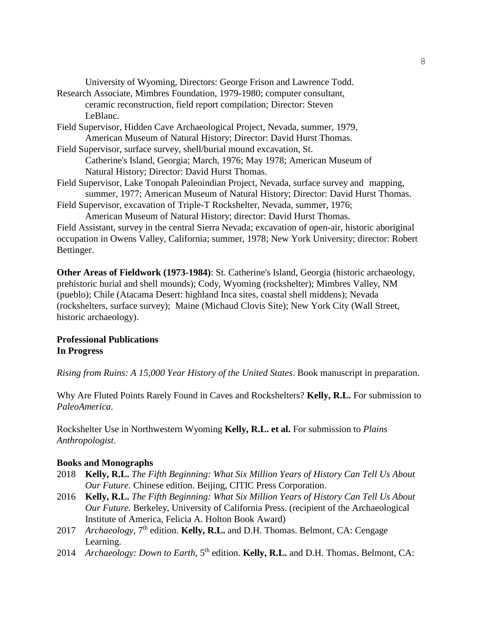University of Wyoming, Directors: George Frison and Lawrence Todd.

- Research Associate, Mimbres Foundation, 1979-1980; computer consultant, ceramic reconstruction, field report compilation; Director: Steven LeBlanc.
- Field Supervisor, Hidden Cave Archaeological Project, Nevada, summer, 1979, American Museum of Natural History; Director: David Hurst Thomas.
- Field Supervisor, surface survey, shell/burial mound excavation, St. Catherine's Island, Georgia; March, 1976; May 1978; American Museum of Natural History; Director: David Hurst Thomas.
- Field Supervisor, Lake Tonopah Paleoindian Project, Nevada, surface survey and mapping, summer, 1977; American Museum of Natural History; Director: David Hurst Thomas.

Field Supervisor, excavation of Triple-T Rockshelter, Nevada, summer, 1976; American Museum of Natural History; director: David Hurst Thomas.

Field Assistant, survey in the central Sierra Nevada; excavation of open-air, historic aboriginal occupation in Owens Valley, California; summer, 1978; New York University; director: Robert Bettinger.

**Other Areas of Fieldwork (1973-1984)**: St. Catherine's Island, Georgia (historic archaeology, prehistoric burial and shell mounds); Cody, Wyoming (rockshelter); Mimbres Valley, NM (pueblo); Chile (Atacama Desert: highland Inca sites, coastal shell middens); Nevada (rockshelters, surface survey); Maine (Michaud Clovis Site); New York City (Wall Street, historic archaeology).

# **Professional Publications In Progress**

*Rising from Ruins: A 15,000 Year History of the United States*. Book manuscript in preparation.

Why Are Fluted Points Rarely Found in Caves and Rockshelters? **Kelly, R.L.** For submission to *PaleoAmerica*.

Rockshelter Use in Northwestern Wyoming **Kelly, R.L. et al.** For submission to *Plains Anthropologist*.

## **Books and Monographs**

- 2018 **Kelly, R.L.** *The Fifth Beginning: What Six Million Years of History Can Tell Us About Our Future.* Chinese edition. Beijing, CITIC Press Corporation.
- 2016 **Kelly, R.L.** *The Fifth Beginning: What Six Million Years of History Can Tell Us About Our Future.* Berkeley, University of California Press. (recipient of the Archaeological Institute of America, Felicia A. Holton Book Award)
- 2017 *Archaeology*, 7th edition. **Kelly, R.L.** and D.H. Thomas. Belmont, CA: Cengage Learning.
- 2014 *Archaeology: Down to Earth*, 5<sup>th</sup> edition. **Kelly, R.L.** and D.H. Thomas. Belmont, CA: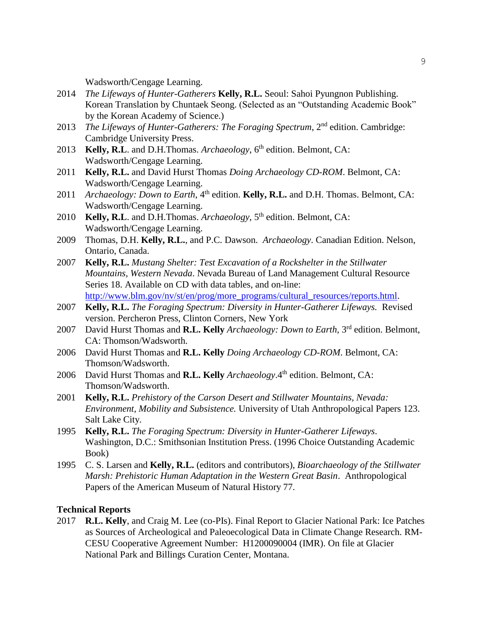Wadsworth/Cengage Learning.

- 2014 *The Lifeways of Hunter-Gatherers* **Kelly, R.L.** Seoul: Sahoi Pyungnon Publishing. Korean Translation by Chuntaek Seong. (Selected as an "Outstanding Academic Book" by the Korean Academy of Science.)
- 2013 *The Lifeways of Hunter-Gatherers: The Foraging Spectrum*, 2nd edition. Cambridge: Cambridge University Press.
- 2013 **Kelly, R.L**. and D.H.Thomas. *Archaeology*, 6<sup>th</sup> edition. Belmont, CA: Wadsworth/Cengage Learning.
- 2011 **Kelly, R.L.** and David Hurst Thomas *Doing Archaeology CD-ROM*. Belmont, CA: Wadsworth/Cengage Learning.
- 2011 *Archaeology: Down to Earth*, 4<sup>th</sup> edition. **Kelly, R.L.** and D.H. Thomas. Belmont, CA: Wadsworth/Cengage Learning.
- 2010 **Kelly, R.L**. and D.H.Thomas. *Archaeology*, 5<sup>th</sup> edition. Belmont, CA: Wadsworth/Cengage Learning.
- 2009 Thomas, D.H. **Kelly, R.L.**, and P.C. Dawson. *Archaeology*. Canadian Edition. Nelson, Ontario, Canada.
- 2007 **Kelly, R.L.** *Mustang Shelter: Test Excavation of a Rockshelter in the Stillwater Mountains, Western Nevada*. Nevada Bureau of Land Management Cultural Resource Series 18. Available on CD with data tables, and on-line: [http://www.blm.gov/nv/st/en/prog/more\\_programs/cultural\\_resources/reports.html.](http://www.blm.gov/nv/st/en/prog/more_programs/cultural_resources/reports.html)
- 2007 **Kelly, R.L.** *The Foraging Spectrum: Diversity in Hunter-Gatherer Lifeways.* Revised version. Percheron Press, Clinton Corners, New York
- 2007 David Hurst Thomas and **R.L. Kelly** *Archaeology: Down to Earth*, 3<sup>rd</sup> edition. Belmont, CA: Thomson/Wadsworth.
- 2006 David Hurst Thomas and **R.L. Kelly** *Doing Archaeology CD-ROM*. Belmont, CA: Thomson/Wadsworth.
- 2006 David Hurst Thomas and **R.L. Kelly** *Archaeology*.4 th edition. Belmont, CA: Thomson/Wadsworth.
- 2001 **Kelly, R.L.** *Prehistory of the Carson Desert and Stillwater Mountains, Nevada: Environment, Mobility and Subsistence.* University of Utah Anthropological Papers 123. Salt Lake City.
- 1995 **Kelly, R.L.** *The Foraging Spectrum: Diversity in Hunter-Gatherer Lifeways*. Washington, D.C.: Smithsonian Institution Press. (1996 Choice Outstanding Academic Book)
- 1995 C. S. Larsen and **Kelly, R.L.** (editors and contributors), *Bioarchaeology of the Stillwater Marsh: Prehistoric Human Adaptation in the Western Great Basin*. Anthropological Papers of the American Museum of Natural History 77.

## **Technical Reports**

2017 **R.L. Kelly**, and Craig M. Lee (co-PIs). Final Report to Glacier National Park: Ice Patches as Sources of Archeological and Paleoecological Data in Climate Change Research. RM-CESU Cooperative Agreement Number: H1200090004 (IMR). On file at Glacier National Park and Billings Curation Center, Montana.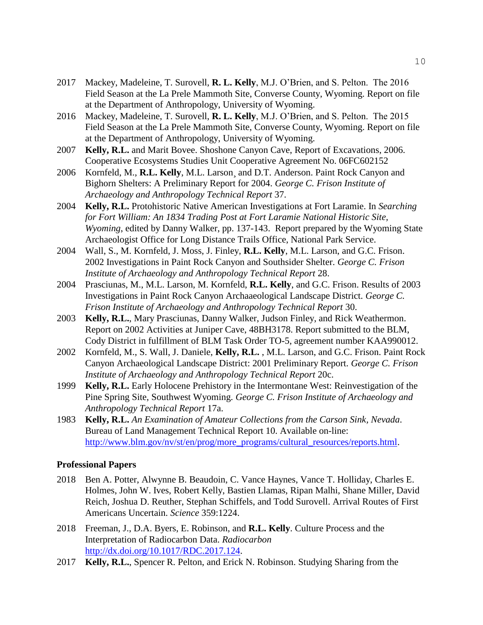- 2017 Mackey, Madeleine, T. Surovell, **R. L. Kelly**, M.J. O'Brien, and S. Pelton. The 2016 Field Season at the La Prele Mammoth Site, Converse County, Wyoming. Report on file at the Department of Anthropology, University of Wyoming.
- 2016 Mackey, Madeleine, T. Surovell, **R. L. Kelly**, M.J. O'Brien, and S. Pelton. The 2015 Field Season at the La Prele Mammoth Site, Converse County, Wyoming. Report on file at the Department of Anthropology, University of Wyoming.
- 2007 **Kelly, R.L.** and Marit Bovee. Shoshone Canyon Cave, Report of Excavations, 2006. Cooperative Ecosystems Studies Unit Cooperative Agreement No. 06FC602152
- 2006 Kornfeld, M., **R.L. Kelly**, M.L. Larson¸ and D.T. Anderson. Paint Rock Canyon and Bighorn Shelters: A Preliminary Report for 2004. *George C. Frison Institute of Archaeology and Anthropology Technical Report* 37.
- 2004 **Kelly, R.L.** Protohistoric Native American Investigations at Fort Laramie. In *Searching for Fort William: An 1834 Trading Post at Fort Laramie National Historic Site, Wyoming*, edited by Danny Walker, pp. 137-143. Report prepared by the Wyoming State Archaeologist Office for Long Distance Trails Office, National Park Service.
- 2004 Wall, S., M. Kornfeld, J. Moss, J. Finley, **R.L. Kelly**, M.L. Larson, and G.C. Frison. 2002 Investigations in Paint Rock Canyon and Southsider Shelter. *George C. Frison Institute of Archaeology and Anthropology Technical Report* 28.
- 2004 Prasciunas, M., M.L. Larson, M. Kornfeld, **R.L. Kelly**, and G.C. Frison. Results of 2003 Investigations in Paint Rock Canyon Archaaeological Landscape District. *George C. Frison Institute of Archaeology and Anthropology Technical Report* 30.
- 2003 **Kelly, R.L.**, Mary Prasciunas, Danny Walker, Judson Finley, and Rick Weathermon. Report on 2002 Activities at Juniper Cave, 48BH3178. Report submitted to the BLM, Cody District in fulfillment of BLM Task Order TO-5, agreement number KAA990012.
- 2002 Kornfeld, M., S. Wall, J. Daniele, **Kelly, R.L.** , M.L. Larson, and G.C. Frison. Paint Rock Canyon Archaeological Landscape District: 2001 Preliminary Report. *George C. Frison Institute of Archaeology and Anthropology Technical Report* 20c.
- 1999 **Kelly, R.L.** Early Holocene Prehistory in the Intermontane West: Reinvestigation of the Pine Spring Site, Southwest Wyoming. *George C. Frison Institute of Archaeology and Anthropology Technical Report* 17a.
- 1983 **Kelly, R.L.** *An Examination of Amateur Collections from the Carson Sink, Nevada*. Bureau of Land Management Technical Report 10. Available on-line: [http://www.blm.gov/nv/st/en/prog/more\\_programs/cultural\\_resources/reports.html.](http://www.blm.gov/nv/st/en/prog/more_programs/cultural_resources/reports.html)

#### **Professional Papers**

- 2018 Ben A. Potter, Alwynne B. Beaudoin, C. Vance Haynes, Vance T. Holliday, Charles E. Holmes, John W. Ives, Robert Kelly, Bastien Llamas, Ripan Malhi, Shane Miller, David Reich, Joshua D. Reuther, Stephan Schiffels, and Todd Surovell. Arrival Routes of First Americans Uncertain. *Science* 359:1224.
- 2018 Freeman, J., D.A. Byers, E. Robinson, and **R.L. Kelly**. Culture Process and the Interpretation of Radiocarbon Data. *Radiocarbon* [http://dx.doi.org/10.1017/RDC.2017.124.](http://dx.doi.org/10.1017/RDC.2017.124)
- 2017 **Kelly, R.L.**, Spencer R. Pelton, and Erick N. Robinson. Studying Sharing from the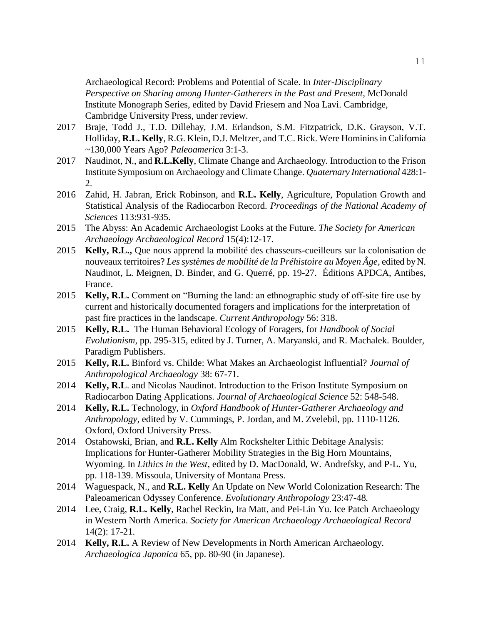Archaeological Record: Problems and Potential of Scale. In *Inter-Disciplinary Perspective on Sharing among Hunter-Gatherers in the Past and Present*, McDonald Institute Monograph Series, edited by David Friesem and Noa Lavi. Cambridge, Cambridge University Press, under review.

- 2017 Braje, Todd J., T.D. Dillehay, J.M. Erlandson, S.M. Fitzpatrick, D.K. Grayson, V.T. Holliday, **R.L. Kelly**, R.G. Klein, D.J. Meltzer, and T.C. Rick. Were Hominins in California ~130,000 Years Ago? *Paleoamerica* 3:1-3.
- 2017 Naudinot, N., and **R.L.Kelly**, Climate Change and Archaeology. Introduction to the Frison Institute Symposium on Archaeology and Climate Change. *Quaternary International* 428:1- 2.
- 2016 Zahid, H. Jabran, Erick Robinson, and **R.L. Kelly**, Agriculture, Population Growth and Statistical Analysis of the Radiocarbon Record. *Proceedings of the National Academy of Sciences* 113:931-935.
- 2015 The Abyss: An Academic Archaeologist Looks at the Future. *The Society for American Archaeology Archaeological Record* 15(4):12-17.
- 2015 **Kelly, R.L.,** Que nous apprend la mobilité des chasseurs-cueilleurs sur la colonisation de nouveaux territoires? *Les systèmes de mobilité de la Préhistoire au Moyen Âge*, edited by N. Naudinot, L. Meignen, D. Binder, and G. Querré, pp. 19-27. Éditions APDCA, Antibes, France.
- 2015 **Kelly, R.L.** Comment on "Burning the land: an ethnographic study of off-site fire use by current and historically documented foragers and implications for the interpretation of past fire practices in the landscape. *Current Anthropology* 56: 318.
- 2015 **Kelly, R.L.** The Human Behavioral Ecology of Foragers, for *Handbook of Social Evolutionism*, pp. 295-315, edited by J. Turner, A. Maryanski, and R. Machalek. Boulder, Paradigm Publishers.
- 2015 **Kelly, R.L.** Binford vs. Childe: What Makes an Archaeologist Influential? *Journal of Anthropological Archaeology* 38: 67-71.
- 2014 **Kelly, R.L**. and Nicolas Naudinot. Introduction to the Frison Institute Symposium on Radiocarbon Dating Applications. *Journal of Archaeological Science* 52: 548-548.
- 2014 **Kelly, R.L.** Technology, in *Oxford Handbook of Hunter-Gatherer Archaeology and Anthropology*, edited by V. Cummings, P. Jordan, and M. Zvelebil, pp. 1110-1126. Oxford, Oxford University Press.
- 2014 Ostahowski, Brian, and **R.L. Kelly** Alm Rockshelter Lithic Debitage Analysis: Implications for Hunter-Gatherer Mobility Strategies in the Big Horn Mountains, Wyoming. In *Lithics in the West*, edited by D. MacDonald, W. Andrefsky, and P-L. Yu, pp. 118-139. Missoula, University of Montana Press.
- 2014 Waguespack, N., and **R.L. Kelly** An Update on New World Colonization Research: The Paleoamerican Odyssey Conference. *Evolutionary Anthropology* 23:47-48*.*
- 2014 Lee, Craig, **R.L. Kelly**, Rachel Reckin, Ira Matt, and Pei-Lin Yu. Ice Patch Archaeology in Western North America. *Society for American Archaeology Archaeological Record* 14(2): 17-21.
- 2014 **Kelly, R.L.** A Review of New Developments in North American Archaeology. *Archaeologica Japonica* 65, pp. 80-90 (in Japanese).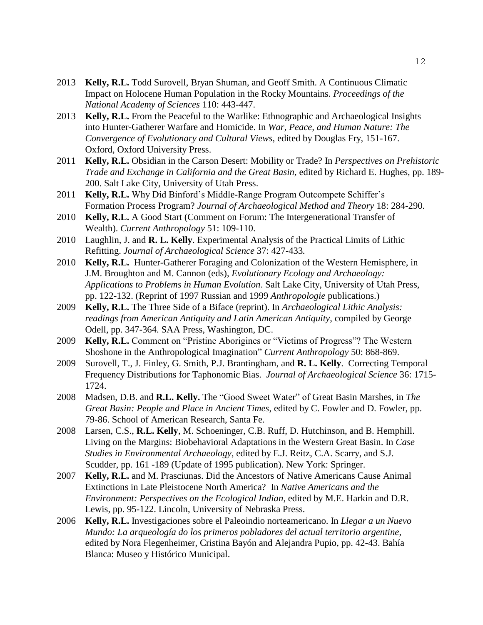- 2013 **Kelly, R.L.** Todd Surovell, Bryan Shuman, and Geoff Smith. A Continuous Climatic Impact on Holocene Human Population in the Rocky Mountains. *Proceedings of the National Academy of Sciences* 110: 443-447.
- 2013 **Kelly, R.L.** From the Peaceful to the Warlike: Ethnographic and Archaeological Insights into Hunter-Gatherer Warfare and Homicide. In *War, Peace, and Human Nature: The Convergence of Evolutionary and Cultural Views*, edited by Douglas Fry, 151-167. Oxford, Oxford University Press.
- 2011 **Kelly, R.L.** Obsidian in the Carson Desert: Mobility or Trade? In *Perspectives on Prehistoric Trade and Exchange in California and the Great Basin,* edited by Richard E. Hughes, pp. 189- 200. Salt Lake City, University of Utah Press.
- 2011 **Kelly, R.L.** Why Did Binford's Middle-Range Program Outcompete Schiffer's Formation Process Program? *Journal of Archaeological Method and Theory* 18: 284-290.
- 2010 **Kelly, R.L.** A Good Start (Comment on Forum: The Intergenerational Transfer of Wealth). *Current Anthropology* 51: 109-110.
- 2010 Laughlin, J. and **R. L. Kelly**. Experimental Analysis of the Practical Limits of Lithic Refitting. *Journal of Archaeological Science* 37: 427-433*.*
- 2010 **Kelly, R.L.** Hunter-Gatherer Foraging and Colonization of the Western Hemisphere, in J.M. Broughton and M. Cannon (eds), *Evolutionary Ecology and Archaeology: Applications to Problems in Human Evolution*. Salt Lake City, University of Utah Press, pp. 122-132. (Reprint of 1997 Russian and 1999 *Anthropologie* publications.)
- 2009 **Kelly, R.L.** The Three Side of a Biface (reprint). In *Archaeological Lithic Analysis: readings from American Antiquity and Latin American Antiquity*, compiled by George Odell, pp. 347-364. SAA Press, Washington, DC.
- 2009 **Kelly, R.L.** Comment on "Pristine Aborigines or "Victims of Progress"? The Western Shoshone in the Anthropological Imagination" *Current Anthropology* 50: 868-869.
- 2009 Surovell, T., J. Finley, G. Smith, P.J. Brantingham, and **R. L. Kelly**. Correcting Temporal Frequency Distributions for Taphonomic Bias. *Journal of Archaeological Science* 36: 1715- 1724.
- 2008 Madsen, D.B. and **R.L. Kelly.** The "Good Sweet Water" of Great Basin Marshes, in *The Great Basin: People and Place in Ancient Times*, edited by C. Fowler and D. Fowler, pp. 79-86. School of American Research, Santa Fe.
- 2008 Larsen, C.S., **R.L. Kelly**, M. Schoeninger, C.B. Ruff, D. Hutchinson, and B. Hemphill. Living on the Margins: Biobehavioral Adaptations in the Western Great Basin. In *Case Studies in Environmental Archaeology*, edited by E.J. Reitz, C.A. Scarry, and S.J. Scudder, pp. 161 -189 (Update of 1995 publication). New York: Springer.
- 2007 **Kelly, R.L.** and M. Prasciunas. Did the Ancestors of Native Americans Cause Animal Extinctions in Late Pleistocene North America? In *Native Americans and the Environment: Perspectives on the Ecological Indian*, edited by M.E. Harkin and D.R. Lewis, pp. 95-122. Lincoln, University of Nebraska Press.
- 2006 **Kelly, R.L.** Investigaciones sobre el Paleoindio norteamericano. In *Llegar a un Nuevo Mundo: La arqueología do los primeros pobladores del actual territorio argentine*, edited by Nora Flegenheimer, Cristina Bayón and Alejandra Pupio, pp. 42-43. Bahía Blanca: Museo y Histórico Municipal.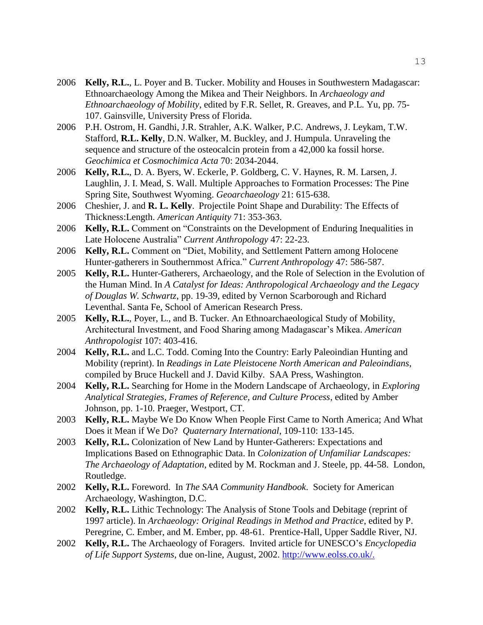- 2006 **Kelly, R.L.**, L. Poyer and B. Tucker. Mobility and Houses in Southwestern Madagascar: Ethnoarchaeology Among the Mikea and Their Neighbors. In *Archaeology and Ethnoarchaeology of Mobility*, edited by F.R. Sellet, R. Greaves, and P.L. Yu, pp. 75- 107. Gainsville, University Press of Florida.
- 2006 P.H. Ostrom, H. Gandhi, J.R. Strahler, A.K. Walker, P.C. Andrews, J. Leykam, T.W. Stafford, **R.L. Kelly**, D.N. Walker, M. Buckley, and J. Humpula. Unraveling the sequence and structure of the osteocalcin protein from a 42,000 ka fossil horse. *Geochimica et Cosmochimica Acta* 70: 2034-2044.
- 2006 **Kelly, R.L.**, D. A. Byers, W. Eckerle, P. Goldberg, C. V. Haynes, R. M. Larsen, J. Laughlin, J. I. Mead, S. Wall. Multiple Approaches to Formation Processes: The Pine Spring Site, Southwest Wyoming. *Geoarchaeology* 21: 615-638.
- 2006 Cheshier, J. and **R. L. Kelly**. Projectile Point Shape and Durability: The Effects of Thickness:Length. *American Antiquity* 71: 353-363.
- 2006 **Kelly, R.L.** Comment on "Constraints on the Development of Enduring Inequalities in Late Holocene Australia" *Current Anthropology* 47: 22-23.
- 2006 **Kelly, R.L.** Comment on "Diet, Mobility, and Settlement Pattern among Holocene Hunter-gatherers in Southernmost Africa." *Current Anthropology* 47: 586-587.
- 2005 **Kelly, R.L.** Hunter-Gatherers, Archaeology, and the Role of Selection in the Evolution of the Human Mind. In *A Catalyst for Ideas: Anthropological Archaeology and the Legacy of Douglas W. Schwartz*, pp. 19-39, edited by Vernon Scarborough and Richard Leventhal. Santa Fe, School of American Research Press.
- 2005 **Kelly, R.L.**, Poyer, L., and B. Tucker. An Ethnoarchaeological Study of Mobility, Architectural Investment, and Food Sharing among Madagascar's Mikea. *American Anthropologist* 107: 403-416.
- 2004 **Kelly, R.L.** and L.C. Todd. Coming Into the Country: Early Paleoindian Hunting and Mobility (reprint). In *Readings in Late Pleistocene North American and Paleoindians*, compiled by Bruce Huckell and J. David Kilby. SAA Press, Washington.
- 2004 **Kelly, R.L.** Searching for Home in the Modern Landscape of Archaeology, in *Exploring Analytical Strategies, Frames of Reference, and Culture Process*, edited by Amber Johnson, pp. 1-10. Praeger, Westport, CT.
- 2003 **Kelly, R.L.** Maybe We Do Know When People First Came to North America; And What Does it Mean if We Do? *Quaternary International*, 109-110: 133-145.
- 2003 **Kelly, R.L.** Colonization of New Land by Hunter-Gatherers: Expectations and Implications Based on Ethnographic Data. In *Colonization of Unfamiliar Landscapes: The Archaeology of Adaptation*, edited by M. Rockman and J. Steele, pp. 44-58. London, Routledge.
- 2002 **Kelly, R.L.** Foreword. In *The SAA Community Handbook*. Society for American Archaeology, Washington, D.C.
- 2002 **Kelly, R.L.** Lithic Technology: The Analysis of Stone Tools and Debitage (reprint of 1997 article). In *Archaeology: Original Readings in Method and Practice*, edited by P. Peregrine, C. Ember, and M. Ember, pp. 48-61. Prentice-Hall, Upper Saddle River, NJ.
- 2002 **Kelly, R.L.** The Archaeology of Foragers. Invited article for UNESCO's *Encyclopedia of Life Support Systems*, due on-line, August, 2002. http://www.eolss.co.uk/.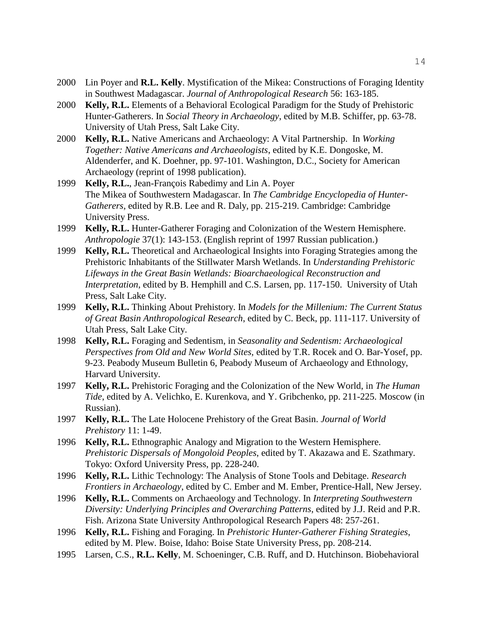- 2000 Lin Poyer and **R.L. Kelly**. Mystification of the Mikea: Constructions of Foraging Identity in Southwest Madagascar. *Journal of Anthropological Research* 56: 163-185.
- 2000 **Kelly, R.L.** Elements of a Behavioral Ecological Paradigm for the Study of Prehistoric Hunter-Gatherers. In *Social Theory in Archaeology*, edited by M.B. Schiffer, pp. 63-78. University of Utah Press, Salt Lake City.
- 2000 **Kelly, R.L.** Native Americans and Archaeology: A Vital Partnership. In *Working Together: Native Americans and Archaeologists*, edited by K.E. Dongoske, M. Aldenderfer, and K. Doehner, pp. 97-101. Washington, D.C., Society for American Archaeology (reprint of 1998 publication).
- 1999 **Kelly, R.L.**, Jean-François Rabedimy and Lin A. Poyer The Mikea of Southwestern Madagascar. In *The Cambridge Encyclopedia of Hunter-Gatherers,* edited by R.B. Lee and R. Daly, pp. 215-219. Cambridge: Cambridge University Press.
- 1999 **Kelly, R.L.** Hunter-Gatherer Foraging and Colonization of the Western Hemisphere. *Anthropologie* 37(1): 143-153. (English reprint of 1997 Russian publication.)
- 1999 **Kelly, R.L.** Theoretical and Archaeological Insights into Foraging Strategies among the Prehistoric Inhabitants of the Stillwater Marsh Wetlands. In *Understanding Prehistoric Lifeways in the Great Basin Wetlands: Bioarchaeological Reconstruction and Interpretation*, edited by B. Hemphill and C.S. Larsen, pp. 117-150. University of Utah Press, Salt Lake City.
- 1999 **Kelly, R.L.** Thinking About Prehistory. In *Models for the Millenium: The Current Status of Great Basin Anthropological Research*, edited by C. Beck, pp. 111-117. University of Utah Press, Salt Lake City.
- 1998 **Kelly, R.L.** Foraging and Sedentism, in *Seasonality and Sedentism: Archaeological Perspectives from Old and New World Sites,* edited by T.R. Rocek and O. Bar-Yosef, pp. 9-23. Peabody Museum Bulletin 6, Peabody Museum of Archaeology and Ethnology, Harvard University.
- 1997 **Kelly, R.L.** Prehistoric Foraging and the Colonization of the New World, in *The Human Tide*, edited by A. Velichko, E. Kurenkova, and Y. Gribchenko, pp. 211-225. Moscow (in Russian).
- 1997 **Kelly, R.L.** The Late Holocene Prehistory of the Great Basin. *Journal of World Prehistory* 11: 1-49.
- 1996 **Kelly, R.L.** Ethnographic Analogy and Migration to the Western Hemisphere. *Prehistoric Dispersals of Mongoloid Peoples*, edited by T. Akazawa and E. Szathmary. Tokyo: Oxford University Press, pp. 228-240.
- 1996 **Kelly, R.L.** Lithic Technology: The Analysis of Stone Tools and Debitage. *Research Frontiers in Archaeology*, edited by C. Ember and M. Ember, Prentice-Hall, New Jersey.
- 1996 **Kelly, R.L.** Comments on Archaeology and Technology. In *Interpreting Southwestern Diversity: Underlying Principles and Overarching Patterns*, edited by J.J. Reid and P.R. Fish. Arizona State University Anthropological Research Papers 48: 257-261.
- 1996 **Kelly, R.L.** Fishing and Foraging. In *Prehistoric Hunter-Gatherer Fishing Strategies*, edited by M. Plew. Boise, Idaho: Boise State University Press, pp. 208-214.
- 1995 Larsen, C.S., **R.L. Kelly**, M. Schoeninger, C.B. Ruff, and D. Hutchinson. Biobehavioral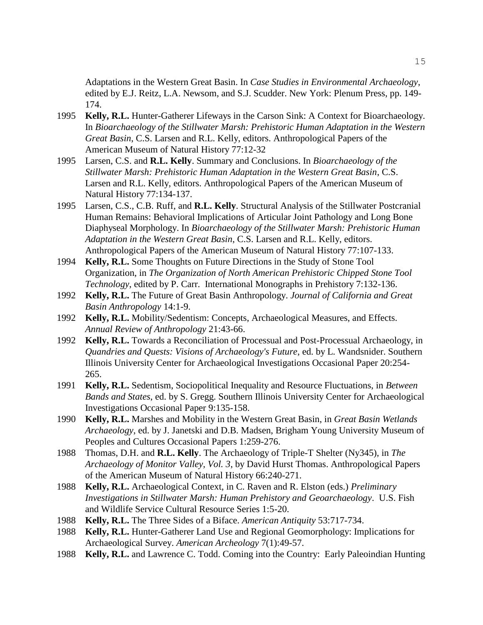Adaptations in the Western Great Basin. In *Case Studies in Environmental Archaeology*, edited by E.J. Reitz, L.A. Newsom, and S.J. Scudder. New York: Plenum Press, pp. 149- 174.

- 1995 **Kelly, R.L.** Hunter-Gatherer Lifeways in the Carson Sink: A Context for Bioarchaeology. In *Bioarchaeology of the Stillwater Marsh: Prehistoric Human Adaptation in the Western Great Basin*, C.S. Larsen and R.L. Kelly, editors. Anthropological Papers of the American Museum of Natural History 77:12-32
- 1995 Larsen, C.S. and **R.L. Kelly**. Summary and Conclusions. In *Bioarchaeology of the Stillwater Marsh: Prehistoric Human Adaptation in the Western Great Basin*, C.S. Larsen and R.L. Kelly, editors. Anthropological Papers of the American Museum of Natural History 77:134-137.
- 1995 Larsen, C.S., C.B. Ruff, and **R.L. Kelly**. Structural Analysis of the Stillwater Postcranial Human Remains: Behavioral Implications of Articular Joint Pathology and Long Bone Diaphyseal Morphology. In *Bioarchaeology of the Stillwater Marsh: Prehistoric Human Adaptation in the Western Great Basin*, C.S. Larsen and R.L. Kelly, editors. Anthropological Papers of the American Museum of Natural History 77:107-133.
- 1994 **Kelly, R.L.** Some Thoughts on Future Directions in the Study of Stone Tool Organization, in *The Organization of North American Prehistoric Chipped Stone Tool Technology*, edited by P. Carr. International Monographs in Prehistory 7:132-136.
- 1992 **Kelly, R.L.** The Future of Great Basin Anthropology. *Journal of California and Great Basin Anthropology* 14:1-9.
- 1992 **Kelly, R.L.** Mobility/Sedentism: Concepts, Archaeological Measures, and Effects. *Annual Review of Anthropology* 21:43-66.
- 1992 **Kelly, R.L.** Towards a Reconciliation of Processual and Post-Processual Archaeology, in *Quandries and Quests: Visions of Archaeology's Future*, ed. by L. Wandsnider. Southern Illinois University Center for Archaeological Investigations Occasional Paper 20:254- 265.
- 1991 **Kelly, R.L.** Sedentism, Sociopolitical Inequality and Resource Fluctuations, in *Between Bands and States*, ed. by S. Gregg. Southern Illinois University Center for Archaeological Investigations Occasional Paper 9:135-158.
- 1990 **Kelly, R.L.** Marshes and Mobility in the Western Great Basin, in *Great Basin Wetlands Archaeology*, ed. by J. Janetski and D.B. Madsen, Brigham Young University Museum of Peoples and Cultures Occasional Papers 1:259-276.
- 1988 Thomas, D.H. and **R.L. Kelly**. The Archaeology of Triple-T Shelter (Ny345), in *The Archaeology of Monitor Valley, Vol. 3*, by David Hurst Thomas. Anthropological Papers of the American Museum of Natural History 66:240-271.
- 1988 **Kelly, R.L.** Archaeological Context, in C. Raven and R. Elston (eds.) *Preliminary Investigations in Stillwater Marsh: Human Prehistory and Geoarchaeology*. U.S. Fish and Wildlife Service Cultural Resource Series 1:5-20.
- 1988 **Kelly, R.L.** The Three Sides of a Biface. *American Antiquity* 53:717-734.
- 1988 **Kelly, R.L.** Hunter-Gatherer Land Use and Regional Geomorphology: Implications for Archaeological Survey. *American Archeology* 7(1):49-57.
- 1988 **Kelly, R.L.** and Lawrence C. Todd. Coming into the Country: Early Paleoindian Hunting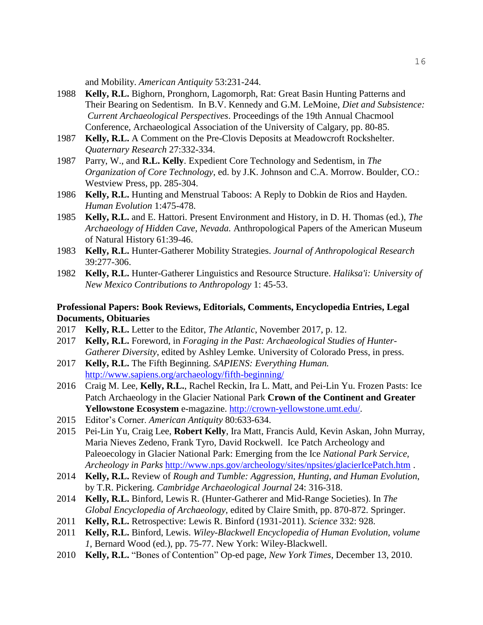and Mobility. *American Antiquity* 53:231-244.

- 1988 **Kelly, R.L.** Bighorn, Pronghorn, Lagomorph, Rat: Great Basin Hunting Patterns and Their Bearing on Sedentism. In B.V. Kennedy and G.M. LeMoine, *Diet and Subsistence: Current Archaeological Perspectives*. Proceedings of the 19th Annual Chacmool Conference, Archaeological Association of the University of Calgary, pp. 80-85.
- 1987 **Kelly, R.L.** A Comment on the Pre-Clovis Deposits at Meadowcroft Rockshelter. *Quaternary Research* 27:332-334.
- 1987 Parry, W., and **R.L. Kelly**. Expedient Core Technology and Sedentism, in *The Organization of Core Technology*, ed. by J.K. Johnson and C.A. Morrow. Boulder, CO.: Westview Press, pp. 285-304.
- 1986 **Kelly, R.L.** Hunting and Menstrual Taboos: A Reply to Dobkin de Rios and Hayden. *Human Evolution* 1:475-478.
- 1985 **Kelly, R.L.** and E. Hattori. Present Environment and History, in D. H. Thomas (ed.), *The Archaeology of Hidden Cave, Nevada.* Anthropological Papers of the American Museum of Natural History 61:39-46.
- 1983 **Kelly, R.L.** Hunter-Gatherer Mobility Strategies. *Journal of Anthropological Research* 39:277-306.
- 1982 **Kelly, R.L.** Hunter-Gatherer Linguistics and Resource Structure. *Haliksa'i: University of New Mexico Contributions to Anthropology* 1: 45-53.

## **Professional Papers: Book Reviews, Editorials, Comments, Encyclopedia Entries, Legal Documents, Obituaries**

- 2017 **Kelly, R.L.** Letter to the Editor, *The Atlantic*, November 2017, p. 12.
- 2017 **Kelly, R.L.** Foreword, in *Foraging in the Past: Archaeological Studies of Hunter-Gatherer Diversity*, edited by Ashley Lemke. University of Colorado Press, in press.
- 2017 **Kelly, R.L.** The Fifth Beginning. *SAPIENS: Everything Human.* <http://www.sapiens.org/archaeology/fifth-beginning/>
- 2016 Craig M. Lee, **Kelly, R.L.**, Rachel Reckin, Ira L. Matt, and Pei-Lin Yu. Frozen Pasts: Ice Patch Archaeology in the Glacier National Park **Crown of the Continent and Greater Yellowstone Ecosystem** e-magazine. [http://crown-yellowstone.umt.edu/.](http://crown-yellowstone.umt.edu/)
- 2015 Editor's Corner. *American Antiquity* 80:633-634.
- 2015 Pei-Lin Yu, Craig Lee, **Robert Kelly**, Ira Matt, Francis Auld, Kevin Askan, John Murray, Maria Nieves Zedeno, Frank Tyro, David Rockwell. Ice Patch Archeology and Paleoecology in Glacier National Park: Emerging from the Ice *National Park Service, Archeology in Parks* <http://www.nps.gov/archeology/sites/npsites/glacierIcePatch.htm> .
- 2014 **Kelly, R.L.** Review of *Rough and Tumble: Aggression, Hunting, and Human Evolution*, by T.R. Pickering. *Cambridge Archaeological Journal* 24: 316-318.
- 2014 **Kelly, R.L.** Binford, Lewis R. (Hunter-Gatherer and Mid-Range Societies). In *The Global Encyclopedia of Archaeology*, edited by Claire Smith, pp. 870-872. Springer.
- 2011 **Kelly, R.L.** Retrospective: Lewis R. Binford (1931-2011). *Science* 332: 928.
- 2011 **Kelly, R.L.** Binford, Lewis. *Wiley-Blackwell Encyclopedia of Human Evolution, volume 1*, Bernard Wood (ed.), pp. 75-77. New York: Wiley-Blackwell.
- 2010 **Kelly, R.L.** "Bones of Contention" Op-ed page, *New York Times*, December 13, 2010.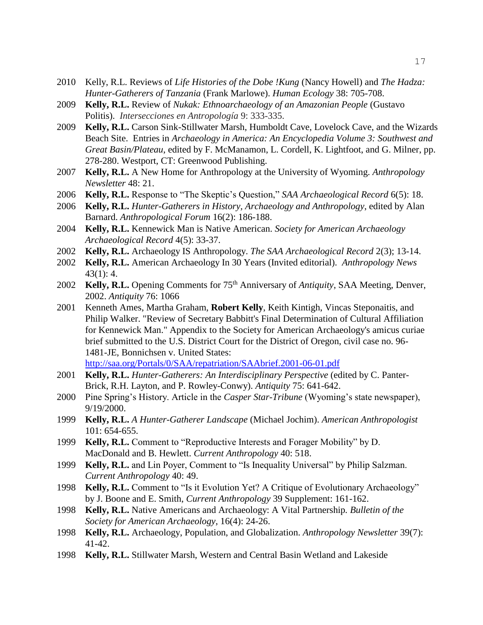- 2010 Kelly, R.L. Reviews of *Life Histories of the Dobe !Kung* (Nancy Howell) and *The Hadza: Hunter-Gatherers of Tanzania* (Frank Marlowe). *Human Ecology* 38: 705-708.
- 2009 **Kelly, R.L.** Review of *Nukak: Ethnoarchaeology of an Amazonian People* (Gustavo Politis). *Intersecciones en Antropología* 9: 333-335.
- 2009 **Kelly, R.L.** Carson Sink-Stillwater Marsh, Humboldt Cave, Lovelock Cave, and the Wizards Beach Site. Entries in *Archaeology in America: An Encyclopedia Volume 3: Southwest and Great Basin/Plateau*, edited by F. McManamon, L. Cordell, K. Lightfoot, and G. Milner, pp. 278-280. Westport, CT: Greenwood Publishing.
- 2007 **Kelly, R.L.** A New Home for Anthropology at the University of Wyoming. *Anthropology Newsletter* 48: 21.
- 2006 **Kelly, R.L.** Response to "The Skeptic's Question," *SAA Archaeological Record* 6(5): 18.
- 2006 **Kelly, R.L.** *Hunter-Gatherers in History, Archaeology and Anthropology*, edited by Alan Barnard. *Anthropological Forum* 16(2): 186-188.
- 2004 **Kelly, R.L.** Kennewick Man is Native American. *Society for American Archaeology Archaeological Record* 4(5): 33-37.
- 2002 **Kelly, R.L.** Archaeology IS Anthropology. *The SAA Archaeological Record* 2(3); 13-14.
- 2002 **Kelly, R.L.** American Archaeology In 30 Years (Invited editorial). *Anthropology News* 43(1): 4.
- 2002 **Kelly, R.L.** Opening Comments for 75th Anniversary of *Antiquity*, SAA Meeting, Denver, 2002. *Antiquity* 76: 1066
- 2001 Kenneth Ames, Martha Graham, **Robert Kelly**, Keith Kintigh, Vincas Steponaitis, and Philip Walker. "Review of Secretary Babbitt's Final Determination of Cultural Affiliation for Kennewick Man." Appendix to the Society for American Archaeology's amicus curiae brief submitted to the U.S. District Court for the District of Oregon, civil case no. 96- 1481-JE, Bonnichsen v. United States: <http://saa.org/Portals/0/SAA/repatriation/SAAbrief.2001-06-01.pdf>
- 2001 **Kelly, R.L.** *Hunter-Gatherers: An Interdisciplinary Perspective* (edited by C. Panter-Brick, R.H. Layton, and P. Rowley-Conwy). *Antiquity* 75: 641-642.
- 2000 Pine Spring's History. Article in the *Casper Star-Tribune* (Wyoming's state newspaper), 9/19/2000.
- 1999 **Kelly, R.L.** *A Hunter-Gatherer Landscape* (Michael Jochim). *American Anthropologist* 101: 654-655.
- 1999 **Kelly, R.L.** Comment to "Reproductive Interests and Forager Mobility" by D. MacDonald and B. Hewlett. *Current Anthropology* 40: 518.
- 1999 **Kelly, R.L.** and Lin Poyer, Comment to "Is Inequality Universal" by Philip Salzman. *Current Anthropology* 40: 49.
- 1998 **Kelly, R.L.** Comment to "Is it Evolution Yet? A Critique of Evolutionary Archaeology" by J. Boone and E. Smith, *Current Anthropology* 39 Supplement: 161-162.
- 1998 **Kelly, R.L.** Native Americans and Archaeology: A Vital Partnership*. Bulletin of the Society for American Archaeology*, 16(4): 24-26.
- 1998 **Kelly, R.L.** Archaeology, Population, and Globalization. *Anthropology Newsletter* 39(7): 41-42.
- 1998 **Kelly, R.L.** Stillwater Marsh, Western and Central Basin Wetland and Lakeside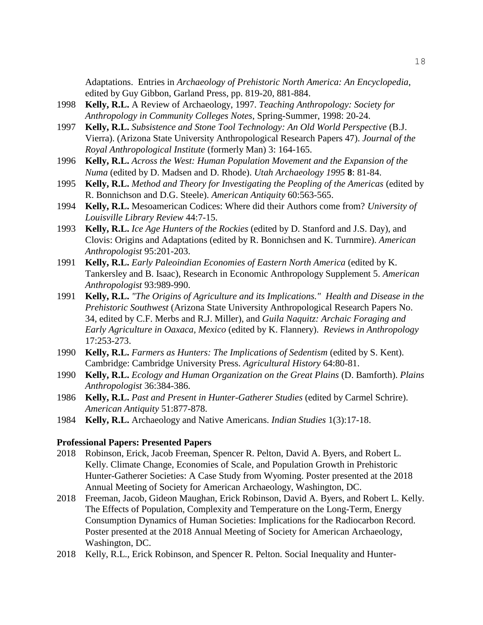Adaptations. Entries in *Archaeology of Prehistoric North America: An Encyclopedia*, edited by Guy Gibbon, Garland Press, pp. 819-20, 881-884.

- 1998 **Kelly, R.L.** A Review of Archaeology, 1997. *Teaching Anthropology: Society for Anthropology in Community Colleges Notes*, Spring-Summer, 1998: 20-24.
- 1997 **Kelly, R.L.** *Subsistence and Stone Tool Technology: An Old World Perspective* (B.J. Vierra). (Arizona State University Anthropological Research Papers 47). *Journal of the Royal Anthropological Institute* (formerly Man) 3: 164-165.
- 1996 **Kelly, R.L.** *Across the West: Human Population Movement and the Expansion of the Numa* (edited by D. Madsen and D. Rhode). *Utah Archaeology 1995* **8**: 81-84.
- 1995 **Kelly, R.L.** *Method and Theory for Investigating the Peopling of the Americas* (edited by R. Bonnichson and D.G. Steele). *American Antiquity* 60:563-565.
- 1994 **Kelly, R.L.** Mesoamerican Codices: Where did their Authors come from? *University of Louisville Library Review* 44:7-15.
- 1993 **Kelly, R.L.** *Ice Age Hunters of the Rockies* (edited by D. Stanford and J.S. Day), and Clovis: Origins and Adaptations (edited by R. Bonnichsen and K. Turnmire). *American Anthropologist* 95:201-203.
- 1991 **Kelly, R.L.** *Early Paleoindian Economies of Eastern North America* (edited by K. Tankersley and B. Isaac), Research in Economic Anthropology Supplement 5. *American Anthropologist* 93:989-990.
- 1991 **Kelly, R.L.** *"The Origins of Agriculture and its Implications." Health and Disease in the Prehistoric Southwest* (Arizona State University Anthropological Research Papers No. 34, edited by C.F. Merbs and R.J. Miller), and *Guila Naquitz: Archaic Foraging and Early Agriculture in Oaxaca, Mexico* (edited by K. Flannery). *Reviews in Anthropology* 17:253-273.
- 1990 **Kelly, R.L.** *Farmers as Hunters: The Implications of Sedentism* (edited by S. Kent). Cambridge: Cambridge University Press. *Agricultural History* 64:80-81.
- 1990 **Kelly, R.L.** *Ecology and Human Organization on the Great Plains* (D. Bamforth). *Plains Anthropologist* 36:384-386.
- 1986 **Kelly, R.L.** *Past and Present in Hunter-Gatherer Studies* (edited by Carmel Schrire). *American Antiquity* 51:877-878.
- 1984 **Kelly, R.L.** Archaeology and Native Americans. *Indian Studies* 1(3):17-18.

## **Professional Papers: Presented Papers**

- 2018 Robinson, Erick, Jacob Freeman, Spencer R. Pelton, David A. Byers, and Robert L. Kelly. Climate Change, Economies of Scale, and Population Growth in Prehistoric Hunter-Gatherer Societies: A Case Study from Wyoming. Poster presented at the 2018 Annual Meeting of Society for American Archaeology, Washington, DC.
- 2018 Freeman, Jacob, Gideon Maughan, Erick Robinson, David A. Byers, and Robert L. Kelly. The Effects of Population, Complexity and Temperature on the Long-Term, Energy Consumption Dynamics of Human Societies: Implications for the Radiocarbon Record. Poster presented at the 2018 Annual Meeting of Society for American Archaeology, Washington, DC.
- 2018 Kelly, R.L., Erick Robinson, and Spencer R. Pelton. Social Inequality and Hunter-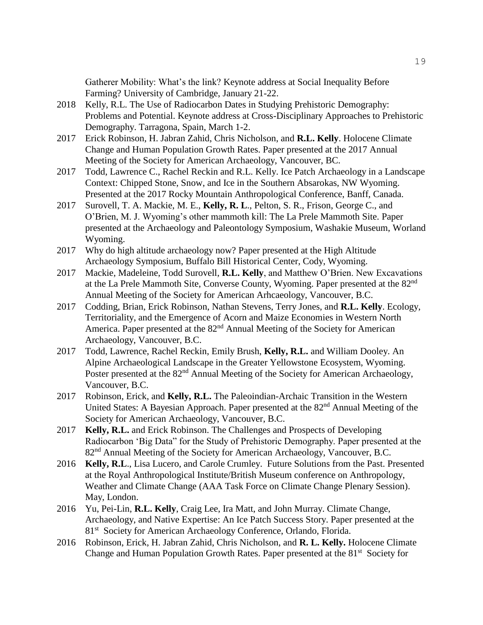Gatherer Mobility: What's the link? Keynote address at Social Inequality Before Farming? University of Cambridge, January 21-22.

- 2018 Kelly, R.L. The Use of Radiocarbon Dates in Studying Prehistoric Demography: Problems and Potential. Keynote address at Cross-Disciplinary Approaches to Prehistoric Demography. Tarragona, Spain, March 1-2.
- 2017 Erick Robinson, H. Jabran Zahid, Chris Nicholson, and **R.L. Kelly**. Holocene Climate Change and Human Population Growth Rates. Paper presented at the 2017 Annual Meeting of the Society for American Archaeology, Vancouver, BC.
- 2017 Todd, Lawrence C., Rachel Reckin and R.L. Kelly. Ice Patch Archaeology in a Landscape Context: Chipped Stone, Snow, and Ice in the Southern Absarokas, NW Wyoming. Presented at the 2017 Rocky Mountain Anthropological Conference, Banff, Canada.
- 2017 Surovell, T. A. Mackie, M. E., **Kelly, R. L**., Pelton, S. R., Frison, George C., and O'Brien, M. J. Wyoming's other mammoth kill: The La Prele Mammoth Site. Paper presented at the Archaeology and Paleontology Symposium, Washakie Museum, Worland Wyoming.
- 2017 Why do high altitude archaeology now? Paper presented at the High Altitude Archaeology Symposium, Buffalo Bill Historical Center, Cody, Wyoming.
- 2017 Mackie, Madeleine, Todd Surovell, **R.L. Kelly**, and Matthew O'Brien. New Excavations at the La Prele Mammoth Site, Converse County, Wyoming. Paper presented at the 82nd Annual Meeting of the Society for American Arhcaeology, Vancouver, B.C.
- 2017 Codding, Brian, Erick Robinson, Nathan Stevens, Terry Jones, and **R.L. Kelly**. Ecology, Territoriality, and the Emergence of Acorn and Maize Economies in Western North America. Paper presented at the 82<sup>nd</sup> Annual Meeting of the Society for American Archaeology, Vancouver, B.C.
- 2017 Todd, Lawrence, Rachel Reckin, Emily Brush, **Kelly, R.L.** and William Dooley. An Alpine Archaeological Landscape in the Greater Yellowstone Ecosystem, Wyoming. Poster presented at the 82<sup>nd</sup> Annual Meeting of the Society for American Archaeology, Vancouver, B.C.
- 2017 Robinson, Erick, and **Kelly, R.L.** The Paleoindian-Archaic Transition in the Western United States: A Bayesian Approach. Paper presented at the 82<sup>nd</sup> Annual Meeting of the Society for American Archaeology, Vancouver, B.C.
- 2017 **Kelly, R.L.** and Erick Robinson. The Challenges and Prospects of Developing Radiocarbon 'Big Data" for the Study of Prehistoric Demography. Paper presented at the 82<sup>nd</sup> Annual Meeting of the Society for American Archaeology, Vancouver, B.C.
- 2016 **Kelly, R.L**., Lisa Lucero, and Carole Crumley. Future Solutions from the Past. Presented at the Royal Anthropological Institute/British Museum conference on Anthropology, Weather and Climate Change (AAA Task Force on Climate Change Plenary Session). May, London.
- 2016 Yu, Pei-Lin, **R.L. Kelly**, Craig Lee, Ira Matt, and John Murray. Climate Change, Archaeology, and Native Expertise: An Ice Patch Success Story. Paper presented at the 81<sup>st</sup> Society for American Archaeology Conference, Orlando, Florida.
- 2016 Robinson, Erick, H. Jabran Zahid, Chris Nicholson, and **R. L. Kelly.** Holocene Climate Change and Human Population Growth Rates. Paper presented at the 81<sup>st</sup> Society for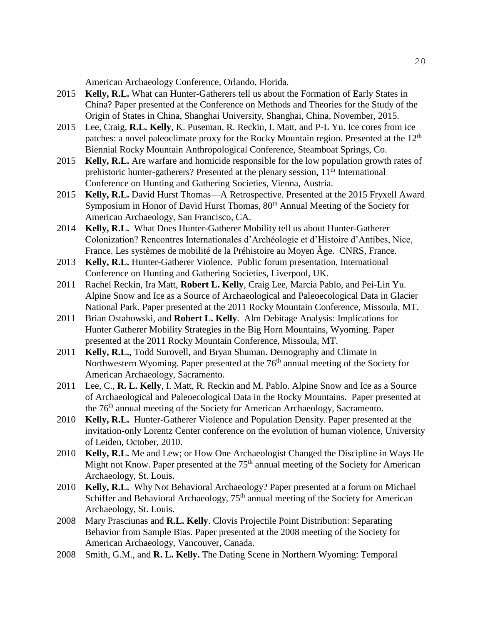American Archaeology Conference, Orlando, Florida.

- 2015 **Kelly, R.L.** What can Hunter-Gatherers tell us about the Formation of Early States in China? Paper presented at the Conference on Methods and Theories for the Study of the Origin of States in China, Shanghai University, Shanghai, China, November, 2015.
- 2015 Lee, Craig, **R.L. Kelly**, K. Puseman, R. Reckin, I. Matt, and P-L Yu. Ice cores from ice patches: a novel paleoclimate proxy for the Rocky Mountain region. Presented at the  $12<sup>th</sup>$ Biennial Rocky Mountain Anthropological Conference, Steamboat Springs, Co.
- 2015 **Kelly, R.L.** Are warfare and homicide responsible for the low population growth rates of prehistoric hunter-gatherers? Presented at the plenary session, 11<sup>th</sup> International Conference on Hunting and Gathering Societies, Vienna, Austria.
- 2015 **Kelly, R.L.** David Hurst Thomas—A Retrospective. Presented at the 2015 Fryxell Award Symposium in Honor of David Hurst Thomas, 80<sup>th</sup> Annual Meeting of the Society for American Archaeology, San Francisco, CA.
- 2014 **Kelly, R.L.** What Does Hunter-Gatherer Mobility tell us about Hunter-Gatherer Colonization? Rencontres Internationales d'Archéologie et d'Histoire d'Antibes, Nice, France. Les systèmes de mobilité de la Préhistoire au Moyen Âge. CNRS, France.
- 2013 **Kelly, R.L.** Hunter-Gatherer Violence. Public forum presentation, International Conference on Hunting and Gathering Societies, Liverpool, UK.
- 2011 Rachel Reckin, Ira Matt, **Robert L. Kelly**, Craig Lee, Marcia Pablo, and Pei-Lin Yu. Alpine Snow and Ice as a Source of Archaeological and Paleoecological Data in Glacier National Park. Paper presented at the 2011 Rocky Mountain Conference, Missoula, MT.
- 2011 Brian Ostahowski, and **Robert L. Kelly**. Alm Debitage Analysis: Implications for Hunter Gatherer Mobility Strategies in the Big Horn Mountains, Wyoming. Paper presented at the 2011 Rocky Mountain Conference, Missoula, MT.
- 2011 **Kelly, R.L.**, Todd Surovell, and Bryan Shuman. Demography and Climate in Northwestern Wyoming. Paper presented at the 76<sup>th</sup> annual meeting of the Society for American Archaeology, Sacramento.
- 2011 Lee, C., **R. L. Kelly**, I. Matt, R. Reckin and M. Pablo. Alpine Snow and Ice as a Source of Archaeological and Paleoecological Data in the Rocky Mountains. Paper presented at the 76<sup>th</sup> annual meeting of the Society for American Archaeology, Sacramento.
- 2010 **Kelly, R.L.** Hunter-Gatherer Violence and Population Density. Paper presented at the invitation-only Lorentz Center conference on the evolution of human violence, University of Leiden, October, 2010.
- 2010 **Kelly, R.L.** Me and Lew; or How One Archaeologist Changed the Discipline in Ways He Might not Know. Paper presented at the  $75<sup>th</sup>$  annual meeting of the Society for American Archaeology, St. Louis.
- 2010 **Kelly, R.L.** Why Not Behavioral Archaeology? Paper presented at a forum on Michael Schiffer and Behavioral Archaeology, 75<sup>th</sup> annual meeting of the Society for American Archaeology, St. Louis.
- 2008 Mary Prasciunas and **R.L. Kelly**. Clovis Projectile Point Distribution: Separating Behavior from Sample Bias. Paper presented at the 2008 meeting of the Society for American Archaeology, Vancouver, Canada.
- 2008 Smith, G.M., and **R. L. Kelly.** The Dating Scene in Northern Wyoming: Temporal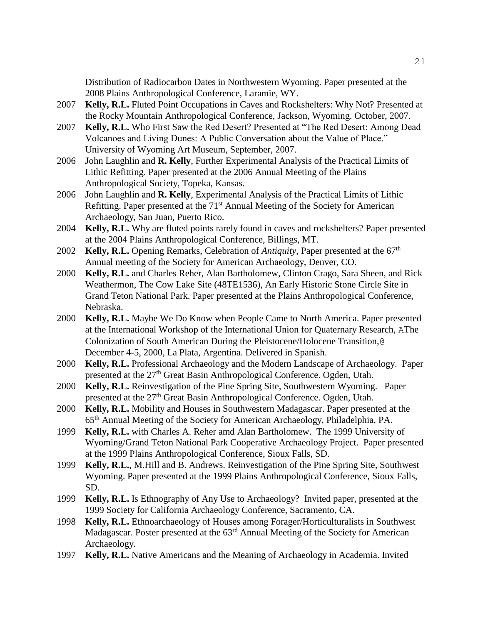Distribution of Radiocarbon Dates in Northwestern Wyoming. Paper presented at the 2008 Plains Anthropological Conference, Laramie, WY.

- 2007 **Kelly, R.L.** Fluted Point Occupations in Caves and Rockshelters: Why Not? Presented at the Rocky Mountain Anthropological Conference, Jackson, Wyoming. October, 2007.
- 2007 **Kelly, R.L.** Who First Saw the Red Desert? Presented at "The Red Desert: Among Dead Volcanoes and Living Dunes: A Public Conversation about the Value of Place." University of Wyoming Art Museum, September, 2007.
- 2006 John Laughlin and **R. Kelly**, Further Experimental Analysis of the Practical Limits of Lithic Refitting. Paper presented at the 2006 Annual Meeting of the Plains Anthropological Society, Topeka, Kansas.
- 2006 John Laughlin and **R. Kelly**, Experimental Analysis of the Practical Limits of Lithic Refitting. Paper presented at the  $71<sup>st</sup>$  Annual Meeting of the Society for American Archaeology, San Juan, Puerto Rico.
- 2004 **Kelly, R.L.** Why are fluted points rarely found in caves and rockshelters? Paper presented at the 2004 Plains Anthropological Conference, Billings, MT.
- 2002 **Kelly, R.L.** Opening Remarks, Celebration of *Antiquity*, Paper presented at the 67<sup>th</sup> Annual meeting of the Society for American Archaeology, Denver, CO.
- 2000 **Kelly, R.L.** and Charles Reher, Alan Bartholomew, Clinton Crago, Sara Sheen, and Rick Weathermon, The Cow Lake Site (48TE1536), An Early Historic Stone Circle Site in Grand Teton National Park. Paper presented at the Plains Anthropological Conference, Nebraska.
- 2000 **Kelly, R.L.** Maybe We Do Know when People Came to North America. Paper presented at the International Workshop of the International Union for Quaternary Research, AThe Colonization of South American During the Pleistocene/Holocene Transition,@ December 4-5, 2000, La Plata, Argentina. Delivered in Spanish.
- 2000 **Kelly, R.L.** Professional Archaeology and the Modern Landscape of Archaeology. Paper presented at the 27<sup>th</sup> Great Basin Anthropological Conference. Ogden, Utah.
- 2000 **Kelly, R.L.** Reinvestigation of the Pine Spring Site, Southwestern Wyoming. Paper presented at the 27<sup>th</sup> Great Basin Anthropological Conference. Ogden, Utah.
- 2000 **Kelly, R.L.** Mobility and Houses in Southwestern Madagascar. Paper presented at the 65th Annual Meeting of the Society for American Archaeology, Philadelphia, PA.
- 1999 **Kelly, R.L.** with Charles A. Reher amd Alan Bartholomew. The 1999 University of Wyoming/Grand Teton National Park Cooperative Archaeology Project. Paper presented at the 1999 Plains Anthropological Conference, Sioux Falls, SD.
- 1999 **Kelly, R.L.**, M.Hill and B. Andrews. Reinvestigation of the Pine Spring Site, Southwest Wyoming. Paper presented at the 1999 Plains Anthropological Conference, Sioux Falls, SD.
- 1999 **Kelly, R.L.** Is Ethnography of Any Use to Archaeology? Invited paper, presented at the 1999 Society for California Archaeology Conference, Sacramento, CA.
- 1998 **Kelly, R.L.** Ethnoarchaeology of Houses among Forager/Horticulturalists in Southwest Madagascar. Poster presented at the 63<sup>rd</sup> Annual Meeting of the Society for American Archaeology.
- 1997 **Kelly, R.L.** Native Americans and the Meaning of Archaeology in Academia. Invited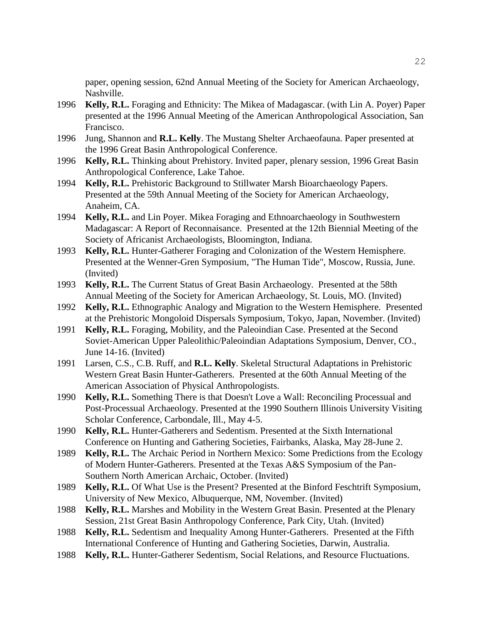paper, opening session, 62nd Annual Meeting of the Society for American Archaeology, Nashville.

- 1996 **Kelly, R.L.** Foraging and Ethnicity: The Mikea of Madagascar. (with Lin A. Poyer) Paper presented at the 1996 Annual Meeting of the American Anthropological Association, San Francisco.
- 1996 Jung, Shannon and **R.L. Kelly**. The Mustang Shelter Archaeofauna. Paper presented at the 1996 Great Basin Anthropological Conference.
- 1996 **Kelly, R.L.** Thinking about Prehistory. Invited paper, plenary session, 1996 Great Basin Anthropological Conference, Lake Tahoe.
- 1994 **Kelly, R.L.** Prehistoric Background to Stillwater Marsh Bioarchaeology Papers. Presented at the 59th Annual Meeting of the Society for American Archaeology, Anaheim, CA.
- 1994 **Kelly, R.L.** and Lin Poyer. Mikea Foraging and Ethnoarchaeology in Southwestern Madagascar: A Report of Reconnaisance. Presented at the 12th Biennial Meeting of the Society of Africanist Archaeologists, Bloomington, Indiana.
- 1993 **Kelly, R.L.** Hunter-Gatherer Foraging and Colonization of the Western Hemisphere. Presented at the Wenner-Gren Symposium, "The Human Tide", Moscow, Russia, June. (Invited)
- 1993 **Kelly, R.L.** The Current Status of Great Basin Archaeology. Presented at the 58th Annual Meeting of the Society for American Archaeology, St. Louis, MO. (Invited)
- 1992 **Kelly, R.L.** Ethnographic Analogy and Migration to the Western Hemisphere. Presented at the Prehistoric Mongoloid Dispersals Symposium, Tokyo, Japan, November. (Invited)
- 1991 **Kelly, R.L.** Foraging, Mobility, and the Paleoindian Case. Presented at the Second Soviet-American Upper Paleolithic/Paleoindian Adaptations Symposium, Denver, CO., June 14-16. (Invited)
- 1991 Larsen, C.S., C.B. Ruff, and **R.L. Kelly**. Skeletal Structural Adaptations in Prehistoric Western Great Basin Hunter-Gatherers. Presented at the 60th Annual Meeting of the American Association of Physical Anthropologists.
- 1990 **Kelly, R.L.** Something There is that Doesn't Love a Wall: Reconciling Processual and Post-Processual Archaeology. Presented at the 1990 Southern Illinois University Visiting Scholar Conference, Carbondale, Ill., May 4-5.
- 1990 **Kelly, R.L.** Hunter-Gatherers and Sedentism. Presented at the Sixth International Conference on Hunting and Gathering Societies, Fairbanks, Alaska, May 28-June 2.
- 1989 **Kelly, R.L.** The Archaic Period in Northern Mexico: Some Predictions from the Ecology of Modern Hunter-Gatherers. Presented at the Texas A&S Symposium of the Pan-Southern North American Archaic, October. (Invited)
- 1989 **Kelly, R.L.** Of What Use is the Present? Presented at the Binford Feschtrift Symposium, University of New Mexico, Albuquerque, NM, November. (Invited)
- 1988 **Kelly, R.L.** Marshes and Mobility in the Western Great Basin. Presented at the Plenary Session, 21st Great Basin Anthropology Conference, Park City, Utah. (Invited)
- 1988 **Kelly, R.L.** Sedentism and Inequality Among Hunter-Gatherers. Presented at the Fifth International Conference of Hunting and Gathering Societies, Darwin, Australia.
- 1988 **Kelly, R.L.** Hunter-Gatherer Sedentism, Social Relations, and Resource Fluctuations.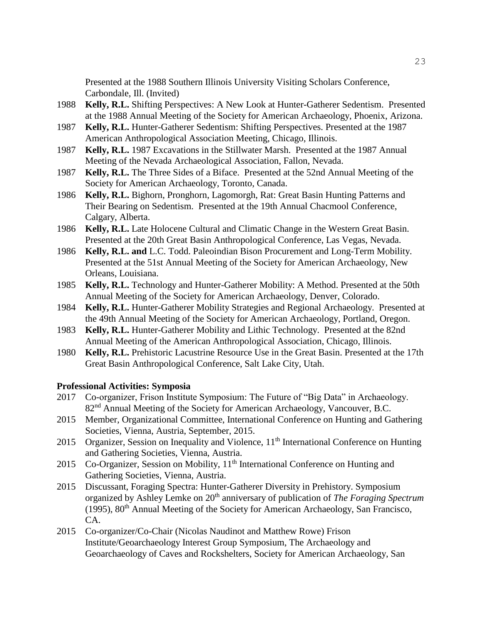Presented at the 1988 Southern Illinois University Visiting Scholars Conference, Carbondale, Ill. (Invited)

- 1988 **Kelly, R.L.** Shifting Perspectives: A New Look at Hunter-Gatherer Sedentism. Presented at the 1988 Annual Meeting of the Society for American Archaeology, Phoenix, Arizona.
- 1987 **Kelly, R.L.** Hunter-Gatherer Sedentism: Shifting Perspectives. Presented at the 1987 American Anthropological Association Meeting, Chicago, Illinois.
- 1987 **Kelly, R.L.** 1987 Excavations in the Stillwater Marsh. Presented at the 1987 Annual Meeting of the Nevada Archaeological Association, Fallon, Nevada.
- 1987 **Kelly, R.L.** The Three Sides of a Biface. Presented at the 52nd Annual Meeting of the Society for American Archaeology, Toronto, Canada.
- 1986 **Kelly, R.L.** Bighorn, Pronghorn, Lagomorgh, Rat: Great Basin Hunting Patterns and Their Bearing on Sedentism. Presented at the 19th Annual Chacmool Conference, Calgary, Alberta.
- 1986 **Kelly, R.L.** Late Holocene Cultural and Climatic Change in the Western Great Basin. Presented at the 20th Great Basin Anthropological Conference, Las Vegas, Nevada.
- 1986 **Kelly, R.L. and** L.C. Todd. Paleoindian Bison Procurement and Long-Term Mobility. Presented at the 51st Annual Meeting of the Society for American Archaeology, New Orleans, Louisiana.
- 1985 **Kelly, R.L.** Technology and Hunter-Gatherer Mobility: A Method. Presented at the 50th Annual Meeting of the Society for American Archaeology, Denver, Colorado.
- 1984 **Kelly, R.L.** Hunter-Gatherer Mobility Strategies and Regional Archaeology. Presented at the 49th Annual Meeting of the Society for American Archaeology, Portland, Oregon.
- 1983 **Kelly, R.L.** Hunter-Gatherer Mobility and Lithic Technology. Presented at the 82nd Annual Meeting of the American Anthropological Association, Chicago, Illinois.
- 1980 **Kelly, R.L.** Prehistoric Lacustrine Resource Use in the Great Basin. Presented at the 17th Great Basin Anthropological Conference, Salt Lake City, Utah.

## **Professional Activities: Symposia**

- 2017 Co-organizer, Frison Institute Symposium: The Future of "Big Data" in Archaeology. 82<sup>nd</sup> Annual Meeting of the Society for American Archaeology, Vancouver, B.C.
- 2015 Member, Organizational Committee, International Conference on Hunting and Gathering Societies, Vienna, Austria, September, 2015.
- 2015 Organizer, Session on Inequality and Violence, 11<sup>th</sup> International Conference on Hunting and Gathering Societies, Vienna, Austria.
- 2015 Co-Organizer, Session on Mobility,  $11<sup>th</sup>$  International Conference on Hunting and Gathering Societies, Vienna, Austria.
- 2015 Discussant, Foraging Spectra: Hunter-Gatherer Diversity in Prehistory. Symposium organized by Ashley Lemke on 20<sup>th</sup> anniversary of publication of *The Foraging Spectrum* (1995),  $80<sup>th</sup>$  Annual Meeting of the Society for American Archaeology, San Francisco, CA.
- 2015 Co-organizer/Co-Chair (Nicolas Naudinot and Matthew Rowe) Frison Institute/Geoarchaeology Interest Group Symposium, The Archaeology and Geoarchaeology of Caves and Rockshelters, Society for American Archaeology, San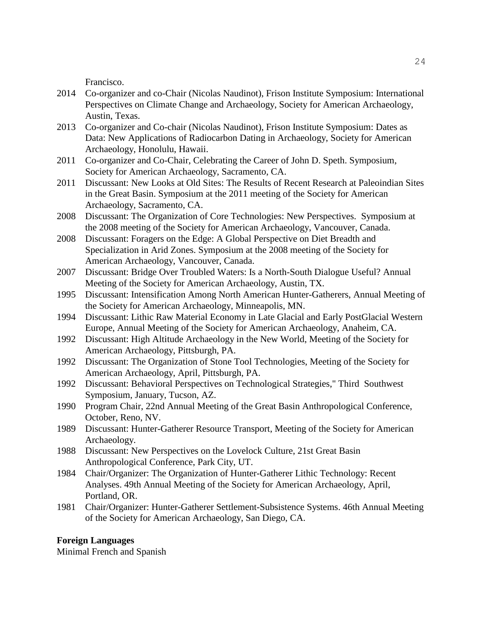Francisco.

- 2014 Co-organizer and co-Chair (Nicolas Naudinot), Frison Institute Symposium: International Perspectives on Climate Change and Archaeology, Society for American Archaeology, Austin, Texas.
- 2013 Co-organizer and Co-chair (Nicolas Naudinot), Frison Institute Symposium: Dates as Data: New Applications of Radiocarbon Dating in Archaeology, Society for American Archaeology, Honolulu, Hawaii.
- 2011 Co-organizer and Co-Chair, Celebrating the Career of John D. Speth. Symposium, Society for American Archaeology, Sacramento, CA.
- 2011 Discussant: New Looks at Old Sites: The Results of Recent Research at Paleoindian Sites in the Great Basin. Symposium at the 2011 meeting of the Society for American Archaeology, Sacramento, CA.
- 2008 Discussant: The Organization of Core Technologies: New Perspectives. Symposium at the 2008 meeting of the Society for American Archaeology, Vancouver, Canada.
- 2008 Discussant: Foragers on the Edge: A Global Perspective on Diet Breadth and Specialization in Arid Zones. Symposium at the 2008 meeting of the Society for American Archaeology, Vancouver, Canada.
- 2007 Discussant: Bridge Over Troubled Waters: Is a North-South Dialogue Useful? Annual Meeting of the Society for American Archaeology, Austin, TX.
- 1995 Discussant: Intensification Among North American Hunter-Gatherers, Annual Meeting of the Society for American Archaeology, Minneapolis, MN.
- 1994 Discussant: Lithic Raw Material Economy in Late Glacial and Early PostGlacial Western Europe, Annual Meeting of the Society for American Archaeology, Anaheim, CA.
- 1992 Discussant: High Altitude Archaeology in the New World, Meeting of the Society for American Archaeology, Pittsburgh, PA.
- 1992 Discussant: The Organization of Stone Tool Technologies, Meeting of the Society for American Archaeology, April, Pittsburgh, PA.
- 1992 Discussant: Behavioral Perspectives on Technological Strategies," Third Southwest Symposium, January, Tucson, AZ.
- 1990 Program Chair, 22nd Annual Meeting of the Great Basin Anthropological Conference, October, Reno, NV.
- 1989 Discussant: Hunter-Gatherer Resource Transport, Meeting of the Society for American Archaeology.
- 1988 Discussant: New Perspectives on the Lovelock Culture, 21st Great Basin Anthropological Conference, Park City, UT.
- 1984 Chair/Organizer: The Organization of Hunter-Gatherer Lithic Technology: Recent Analyses. 49th Annual Meeting of the Society for American Archaeology, April, Portland, OR.
- 1981 Chair/Organizer: Hunter-Gatherer Settlement-Subsistence Systems. 46th Annual Meeting of the Society for American Archaeology, San Diego, CA.

## **Foreign Languages**

Minimal French and Spanish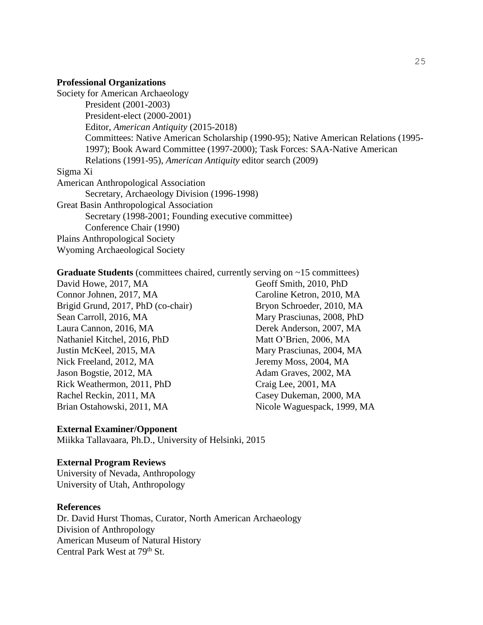#### **Professional Organizations**

Society for American Archaeology President (2001-2003) President-elect (2000-2001) Editor, *American Antiquity* (2015-2018) Committees: Native American Scholarship (1990-95); Native American Relations (1995- 1997); Book Award Committee (1997-2000); Task Forces: SAA-Native American Relations (1991-95), *American Antiquity* editor search (2009) Sigma Xi American Anthropological Association Secretary, Archaeology Division (1996-1998) Great Basin Anthropological Association Secretary (1998-2001; Founding executive committee) Conference Chair (1990) Plains Anthropological Society Wyoming Archaeological Society

## **Graduate Students** (committees chaired, currently serving on ~15 committees)

David Howe, 2017, MA Connor Johnen, 2017, MA Brigid Grund, 2017, PhD (co-chair) Sean Carroll, 2016, MA Laura Cannon, 2016, MA Nathaniel Kitchel, 2016, PhD Justin McKeel, 2015, MA Nick Freeland, 2012, MA Jason Bogstie, 2012, MA Rick Weathermon, 2011, PhD Rachel Reckin, 2011, MA Brian Ostahowski, 2011, MA

Geoff Smith, 2010, PhD Caroline Ketron, 2010, MA Bryon Schroeder, 2010, MA Mary Prasciunas, 2008, PhD Derek Anderson, 2007, MA Matt O'Brien, 2006, MA Mary Prasciunas, 2004, MA Jeremy Moss, 2004, MA Adam Graves, 2002, MA Craig Lee, 2001, MA Casey Dukeman, 2000, MA Nicole Waguespack, 1999, MA

## **External Examiner/Opponent**

Miikka Tallavaara, Ph.D., University of Helsinki, 2015

#### **External Program Reviews**

University of Nevada, Anthropology University of Utah, Anthropology

## **References**

Dr. David Hurst Thomas, Curator, North American Archaeology Division of Anthropology American Museum of Natural History Central Park West at 79<sup>th</sup> St.